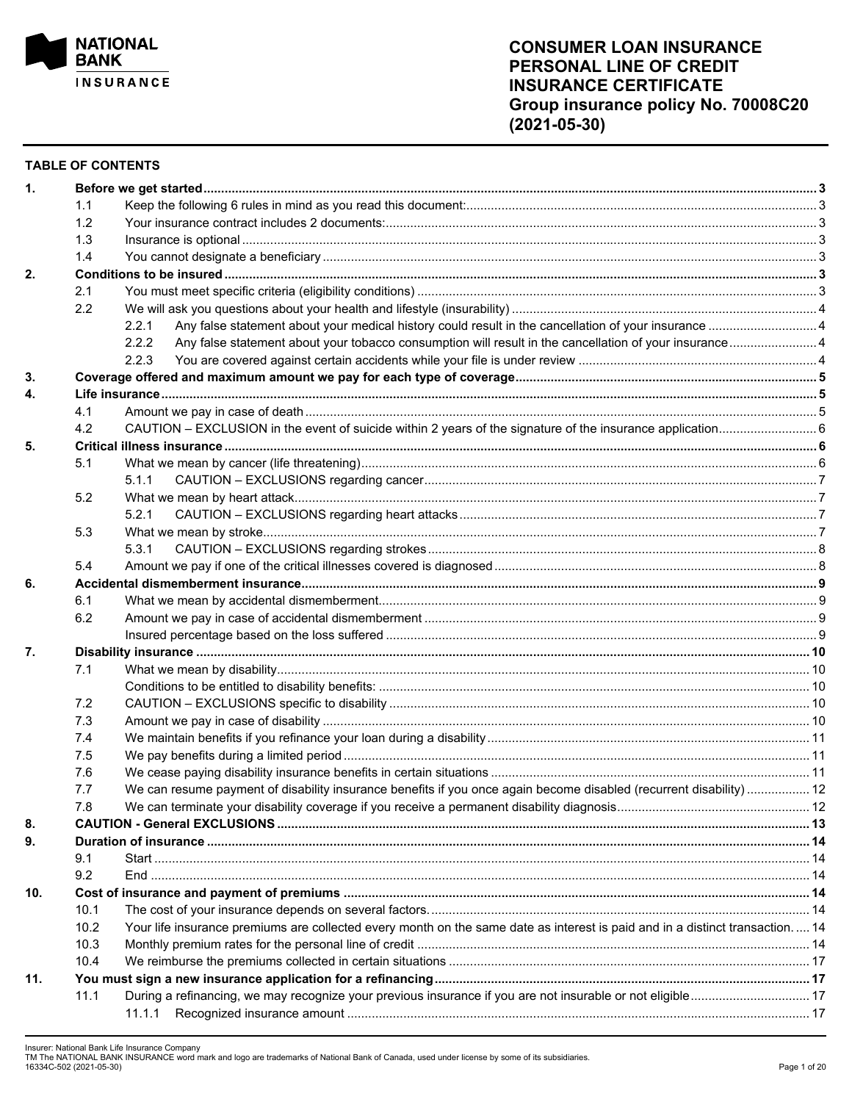

### **TABLE OF CONTENTS**

| $\mathbf{1}$ . |      |                                                                                                                              |  |  |  |  |  |  |
|----------------|------|------------------------------------------------------------------------------------------------------------------------------|--|--|--|--|--|--|
|                | 1.1  |                                                                                                                              |  |  |  |  |  |  |
|                | 1.2  |                                                                                                                              |  |  |  |  |  |  |
|                | 1.3  |                                                                                                                              |  |  |  |  |  |  |
|                | 1.4  |                                                                                                                              |  |  |  |  |  |  |
| 2.             |      |                                                                                                                              |  |  |  |  |  |  |
|                | 2.1  |                                                                                                                              |  |  |  |  |  |  |
|                | 2.2  |                                                                                                                              |  |  |  |  |  |  |
|                |      | 2.2.1                                                                                                                        |  |  |  |  |  |  |
|                |      | Any false statement about your tobacco consumption will result in the cancellation of your insurance 4<br>2.2.2              |  |  |  |  |  |  |
|                |      | 2.2.3                                                                                                                        |  |  |  |  |  |  |
| 3.             |      |                                                                                                                              |  |  |  |  |  |  |
| 4.             |      |                                                                                                                              |  |  |  |  |  |  |
|                | 4.1  |                                                                                                                              |  |  |  |  |  |  |
|                | 4.2  |                                                                                                                              |  |  |  |  |  |  |
| 5.             |      |                                                                                                                              |  |  |  |  |  |  |
|                | 5.1  |                                                                                                                              |  |  |  |  |  |  |
|                |      | 5.1.1                                                                                                                        |  |  |  |  |  |  |
|                | 5.2  |                                                                                                                              |  |  |  |  |  |  |
|                |      | 5.2.1                                                                                                                        |  |  |  |  |  |  |
|                |      |                                                                                                                              |  |  |  |  |  |  |
|                | 5.3  |                                                                                                                              |  |  |  |  |  |  |
|                |      | 5.3.1                                                                                                                        |  |  |  |  |  |  |
|                | 5.4  |                                                                                                                              |  |  |  |  |  |  |
| 6.             |      |                                                                                                                              |  |  |  |  |  |  |
|                | 6.1  |                                                                                                                              |  |  |  |  |  |  |
|                | 6.2  |                                                                                                                              |  |  |  |  |  |  |
|                |      |                                                                                                                              |  |  |  |  |  |  |
| 7.             |      |                                                                                                                              |  |  |  |  |  |  |
|                | 7.1  |                                                                                                                              |  |  |  |  |  |  |
|                |      |                                                                                                                              |  |  |  |  |  |  |
|                | 7.2  |                                                                                                                              |  |  |  |  |  |  |
|                | 7.3  |                                                                                                                              |  |  |  |  |  |  |
|                | 7.4  |                                                                                                                              |  |  |  |  |  |  |
|                | 7.5  |                                                                                                                              |  |  |  |  |  |  |
|                | 7.6  |                                                                                                                              |  |  |  |  |  |  |
|                | 7.7  | We can resume payment of disability insurance benefits if you once again become disabled (recurrent disability) 12           |  |  |  |  |  |  |
|                | 7.8  |                                                                                                                              |  |  |  |  |  |  |
| 8.             |      |                                                                                                                              |  |  |  |  |  |  |
| 9.             |      |                                                                                                                              |  |  |  |  |  |  |
|                | 9.1  |                                                                                                                              |  |  |  |  |  |  |
|                | 9.2  |                                                                                                                              |  |  |  |  |  |  |
| 10.            |      |                                                                                                                              |  |  |  |  |  |  |
|                | 10.1 |                                                                                                                              |  |  |  |  |  |  |
|                | 10.2 | Your life insurance premiums are collected every month on the same date as interest is paid and in a distinct transaction 14 |  |  |  |  |  |  |
|                | 10.3 |                                                                                                                              |  |  |  |  |  |  |
|                | 10.4 |                                                                                                                              |  |  |  |  |  |  |
| 11.            |      |                                                                                                                              |  |  |  |  |  |  |
|                | 11.1 | During a refinancing, we may recognize your previous insurance if you are not insurable or not eligible 17                   |  |  |  |  |  |  |
|                |      |                                                                                                                              |  |  |  |  |  |  |
|                |      |                                                                                                                              |  |  |  |  |  |  |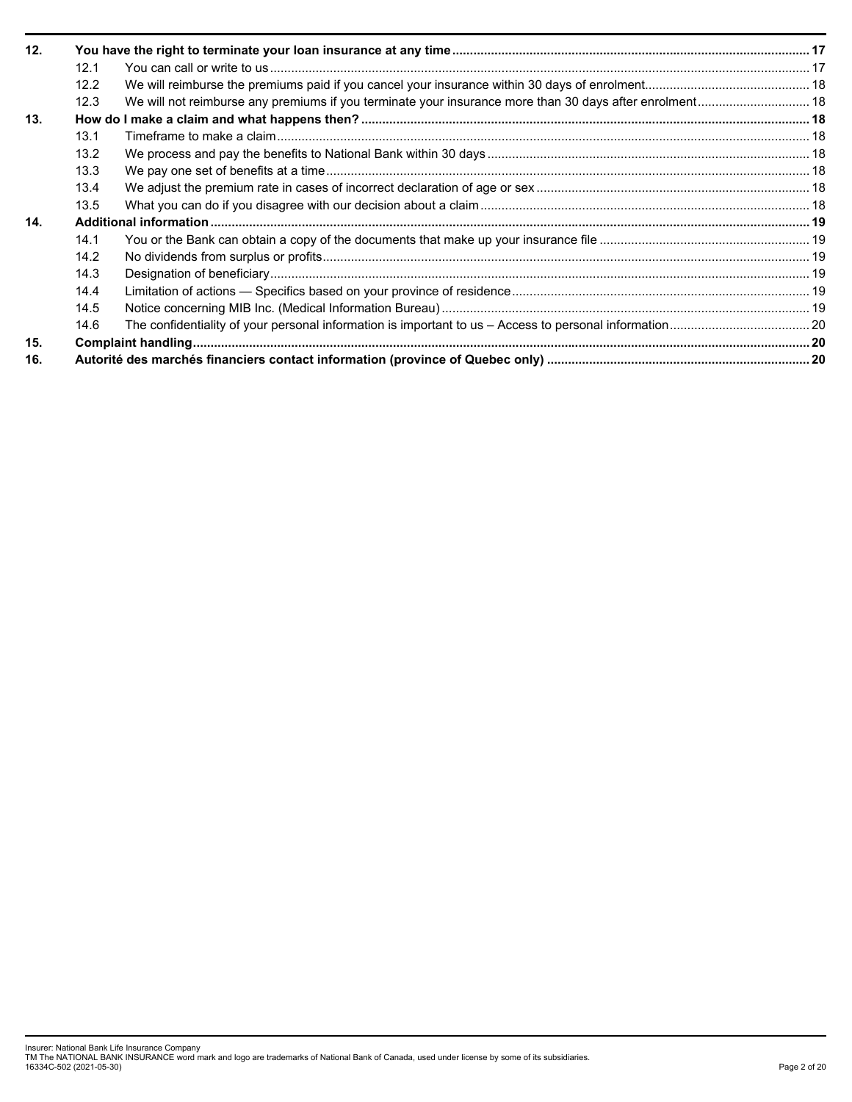| 12. |      |                                                                                                         |  |  |  |  |
|-----|------|---------------------------------------------------------------------------------------------------------|--|--|--|--|
|     | 12.1 |                                                                                                         |  |  |  |  |
|     | 12.2 |                                                                                                         |  |  |  |  |
|     | 12.3 | We will not reimburse any premiums if you terminate your insurance more than 30 days after enrolment 18 |  |  |  |  |
| 13. |      |                                                                                                         |  |  |  |  |
|     | 13.1 |                                                                                                         |  |  |  |  |
|     | 13.2 |                                                                                                         |  |  |  |  |
|     | 13.3 |                                                                                                         |  |  |  |  |
|     | 13.4 |                                                                                                         |  |  |  |  |
|     | 13.5 |                                                                                                         |  |  |  |  |
| 14. |      |                                                                                                         |  |  |  |  |
|     | 14.1 |                                                                                                         |  |  |  |  |
|     | 14.2 |                                                                                                         |  |  |  |  |
|     | 14.3 |                                                                                                         |  |  |  |  |
|     | 14.4 |                                                                                                         |  |  |  |  |
|     | 14.5 |                                                                                                         |  |  |  |  |
|     | 14.6 |                                                                                                         |  |  |  |  |
| 15. |      |                                                                                                         |  |  |  |  |
| 16. |      |                                                                                                         |  |  |  |  |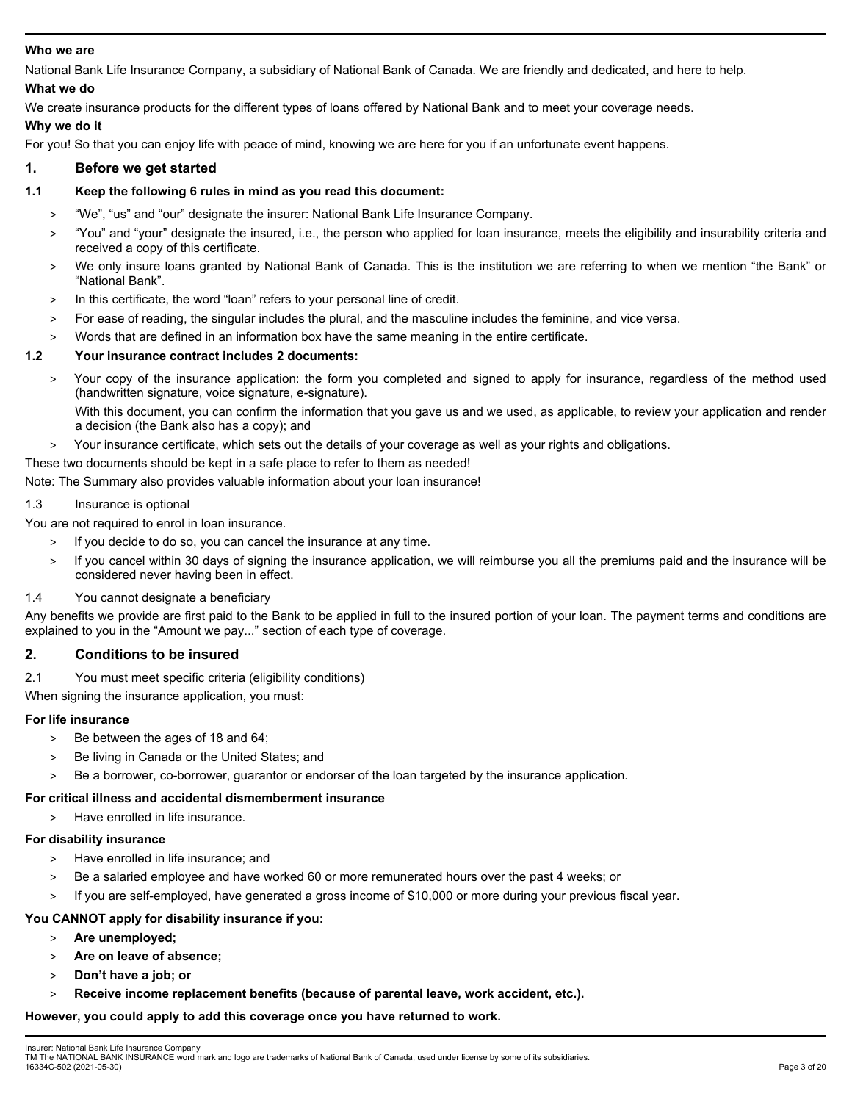# **Who we are**

National Bank Life Insurance Company, a subsidiary of National Bank of Canada. We are friendly and dedicated, and here to help. **What we do** 

We create insurance products for the different types of loans offered by National Bank and to meet your coverage needs.

## **Why we do it**

For you! So that you can enjoy life with peace of mind, knowing we are here for you if an unfortunate event happens.

## **1. Before we get started**

## **1.1 Keep the following 6 rules in mind as you read this document:**

- > "We", "us" and "our" designate the insurer: National Bank Life Insurance Company.
- > "You" and "your" designate the insured, i.e., the person who applied for loan insurance, meets the eligibility and insurability criteria and received a copy of this certificate.
- > We only insure loans granted by National Bank of Canada. This is the institution we are referring to when we mention "the Bank" or "National Bank".
- > In this certificate, the word "loan" refers to your personal line of credit.
- > For ease of reading, the singular includes the plural, and the masculine includes the feminine, and vice versa.
- Words that are defined in an information box have the same meaning in the entire certificate.

## **1.2 Your insurance contract includes 2 documents:**

> Your copy of the insurance application: the form you completed and signed to apply for insurance, regardless of the method used (handwritten signature, voice signature, e-signature).

With this document, you can confirm the information that you gave us and we used, as applicable, to review your application and render a decision (the Bank also has a copy); and

> Your insurance certificate, which sets out the details of your coverage as well as your rights and obligations.

### These two documents should be kept in a safe place to refer to them as needed!

Note: The Summary also provides valuable information about your loan insurance!

# 1.3 Insurance is optional

- You are not required to enrol in loan insurance.
	- > If you decide to do so, you can cancel the insurance at any time.
	- > If you cancel within 30 days of signing the insurance application, we will reimburse you all the premiums paid and the insurance will be considered never having been in effect.

### 1.4 You cannot designate a beneficiary

Any benefits we provide are first paid to the Bank to be applied in full to the insured portion of your loan. The payment terms and conditions are explained to you in the "Amount we pay..." section of each type of coverage.

# **2. Conditions to be insured**

2.1 You must meet specific criteria (eligibility conditions)

When signing the insurance application, you must:

### **For life insurance**

- > Be between the ages of 18 and 64;
- > Be living in Canada or the United States; and
- > Be a borrower, co-borrower, guarantor or endorser of the loan targeted by the insurance application.

### **For critical illness and accidental dismemberment insurance**

> Have enrolled in life insurance.

### **For disability insurance**

- > Have enrolled in life insurance; and
- Be a salaried employee and have worked 60 or more remunerated hours over the past 4 weeks; or
- > If you are self-employed, have generated a gross income of \$10,000 or more during your previous fiscal year.

# **You CANNOT apply for disability insurance if you:**

- > **Are unemployed;**
- > **Are on leave of absence;**
- > **Don't have a job; or**
- > **Receive income replacement benefits (because of parental leave, work accident, etc.).**

### **However, you could apply to add this coverage once you have returned to work.**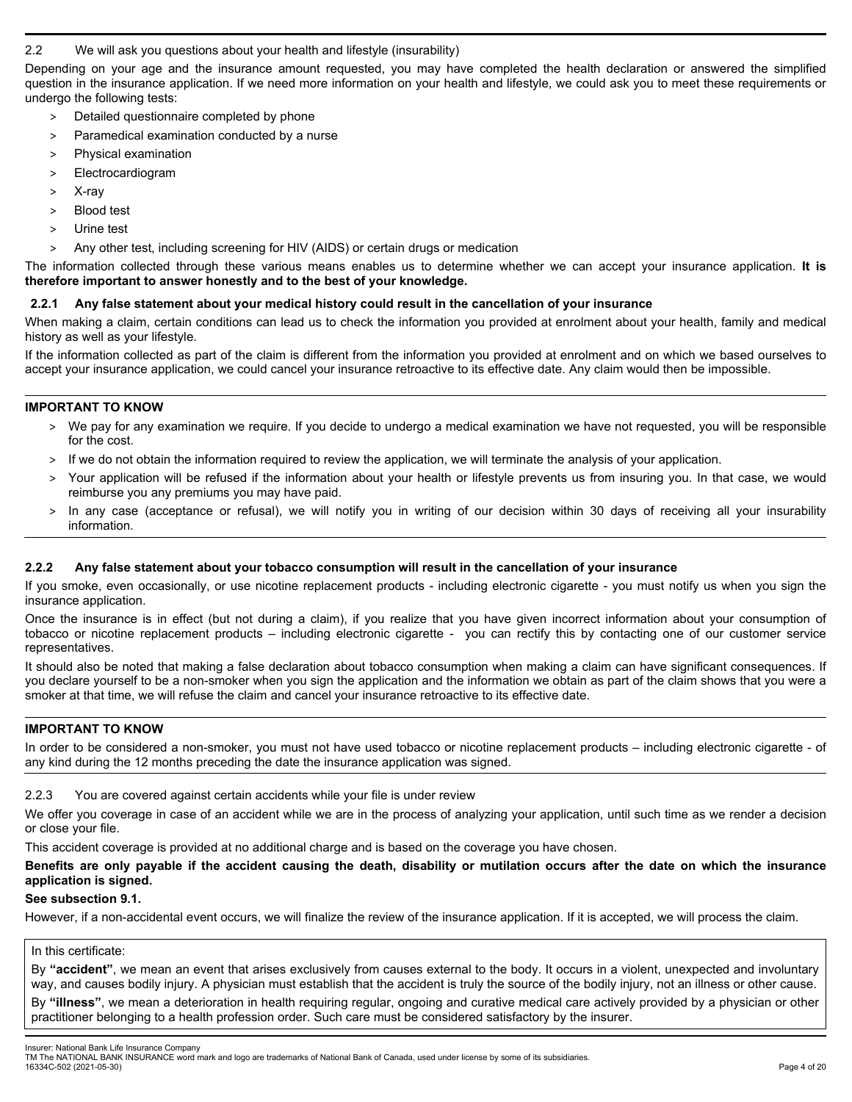## 2.2 We will ask you questions about your health and lifestyle (insurability)

Depending on your age and the insurance amount requested, you may have completed the health declaration or answered the simplified question in the insurance application. If we need more information on your health and lifestyle, we could ask you to meet these requirements or undergo the following tests:

- > Detailed questionnaire completed by phone
- > Paramedical examination conducted by a nurse
- > Physical examination
- > Electrocardiogram
- > X-ray
- > Blood test
- > Urine test
- > Any other test, including screening for HIV (AIDS) or certain drugs or medication

The information collected through these various means enables us to determine whether we can accept your insurance application. **It is therefore important to answer honestly and to the best of your knowledge.** 

## **2.2.1 Any false statement about your medical history could result in the cancellation of your insurance**

When making a claim, certain conditions can lead us to check the information you provided at enrolment about your health, family and medical history as well as your lifestyle.

If the information collected as part of the claim is different from the information you provided at enrolment and on which we based ourselves to accept your insurance application, we could cancel your insurance retroactive to its effective date. Any claim would then be impossible.

### **IMPORTANT TO KNOW**

- > We pay for any examination we require. If you decide to undergo a medical examination we have not requested, you will be responsible for the cost.
- > If we do not obtain the information required to review the application, we will terminate the analysis of your application.
- > Your application will be refused if the information about your health or lifestyle prevents us from insuring you. In that case, we would reimburse you any premiums you may have paid.
- In any case (acceptance or refusal), we will notify you in writing of our decision within 30 days of receiving all your insurability information.

# **2.2.2 Any false statement about your tobacco consumption will result in the cancellation of your insurance**

If you smoke, even occasionally, or use nicotine replacement products - including electronic cigarette - you must notify us when you sign the insurance application.

Once the insurance is in effect (but not during a claim), if you realize that you have given incorrect information about your consumption of tobacco or nicotine replacement products – including electronic cigarette - you can rectify this by contacting one of our customer service representatives.

It should also be noted that making a false declaration about tobacco consumption when making a claim can have significant consequences. If you declare yourself to be a non-smoker when you sign the application and the information we obtain as part of the claim shows that you were a smoker at that time, we will refuse the claim and cancel your insurance retroactive to its effective date.

### **IMPORTANT TO KNOW**

In order to be considered a non-smoker, you must not have used tobacco or nicotine replacement products – including electronic cigarette - of any kind during the 12 months preceding the date the insurance application was signed.

### 2.2.3 You are covered against certain accidents while your file is under review

We offer you coverage in case of an accident while we are in the process of analyzing your application, until such time as we render a decision or close your file.

This accident coverage is provided at no additional charge and is based on the coverage you have chosen.

## **Benefits are only payable if the accident causing the death, disability or mutilation occurs after the date on which the insurance application is signed.**

### **See subsection 9.1.**

However, if a non-accidental event occurs, we will finalize the review of the insurance application. If it is accepted, we will process the claim.

### In this certificate:

By **"accident"**, we mean an event that arises exclusively from causes external to the body. It occurs in a violent, unexpected and involuntary way, and causes bodily injury. A physician must establish that the accident is truly the source of the bodily injury, not an illness or other cause.

By **"illness"**, we mean a deterioration in health requiring regular, ongoing and curative medical care actively provided by a physician or other practitioner belonging to a health profession order. Such care must be considered satisfactory by the insurer.

Insurer: National Bank Life Insurance Company

TM The NATIONAL BANK INSURANCE word mark and logo are trademarks of National Bank of Canada, used under license by some of its subsidiaries. 16334C-502 (2021-05-30) Page 4 of 20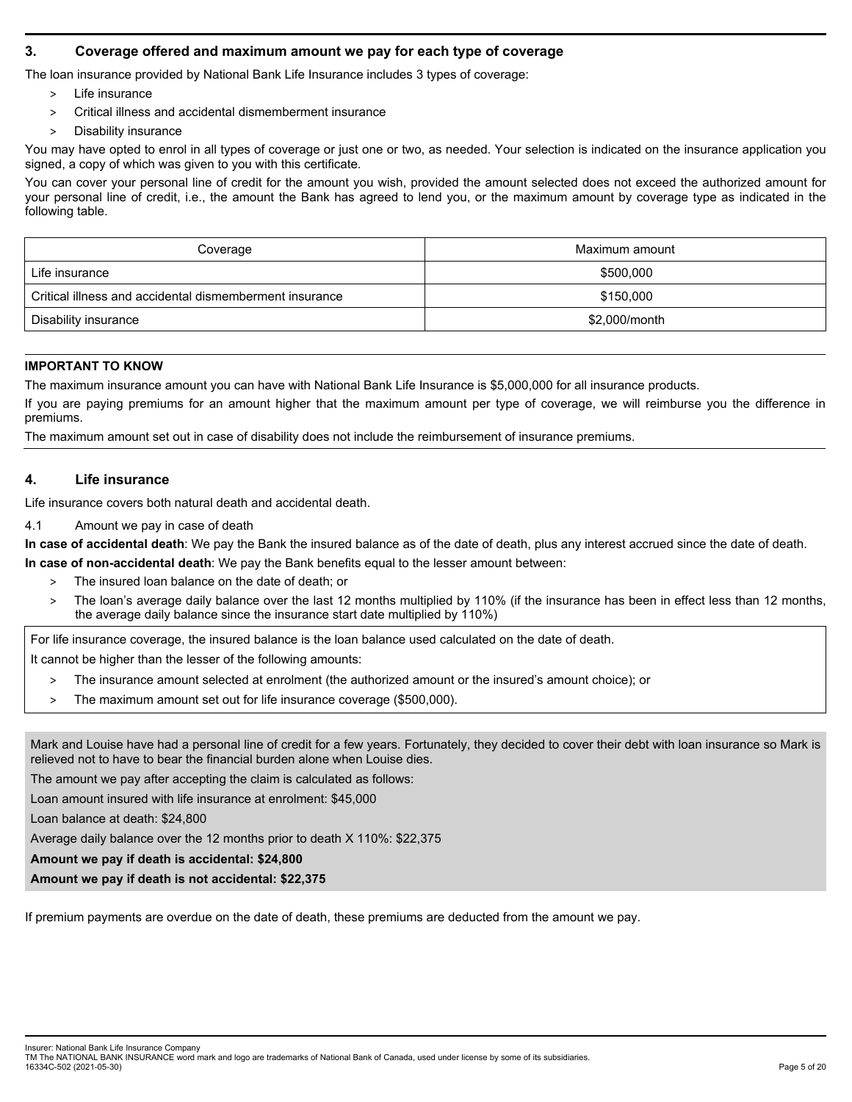# **3. Coverage offered and maximum amount we pay for each type of coverage**

The loan insurance provided by National Bank Life Insurance includes 3 types of coverage:

- > Life insurance
- > Critical illness and accidental dismemberment insurance
- Disability insurance

You may have opted to enrol in all types of coverage or just one or two, as needed. Your selection is indicated on the insurance application you signed, a copy of which was given to you with this certificate.

You can cover your personal line of credit for the amount you wish, provided the amount selected does not exceed the authorized amount for your personal line of credit, i.e., the amount the Bank has agreed to lend you, or the maximum amount by coverage type as indicated in the following table.

| Coverage                                                | Maximum amount |
|---------------------------------------------------------|----------------|
| Life insurance                                          | \$500,000      |
| Critical illness and accidental dismemberment insurance | \$150.000      |
| Disability insurance                                    | \$2,000/month  |

# **IMPORTANT TO KNOW**

The maximum insurance amount you can have with National Bank Life Insurance is \$5,000,000 for all insurance products.

If you are paying premiums for an amount higher that the maximum amount per type of coverage, we will reimburse you the difference in premiums.

The maximum amount set out in case of disability does not include the reimbursement of insurance premiums.

## **4. Life insurance**

Life insurance covers both natural death and accidental death.

4.1 Amount we pay in case of death

**In case of accidental death**: We pay the Bank the insured balance as of the date of death, plus any interest accrued since the date of death.

**In case of non-accidental death**: We pay the Bank benefits equal to the lesser amount between:

- > The insured loan balance on the date of death; or
- > The loan's average daily balance over the last 12 months multiplied by 110% (if the insurance has been in effect less than 12 months, the average daily balance since the insurance start date multiplied by 110%)

For life insurance coverage, the insured balance is the loan balance used calculated on the date of death.

It cannot be higher than the lesser of the following amounts:

- > The insurance amount selected at enrolment (the authorized amount or the insured's amount choice); or
- > The maximum amount set out for life insurance coverage (\$500,000).

Mark and Louise have had a personal line of credit for a few years. Fortunately, they decided to cover their debt with loan insurance so Mark is relieved not to have to bear the financial burden alone when Louise dies.

The amount we pay after accepting the claim is calculated as follows:

Loan amount insured with life insurance at enrolment: \$45,000

Loan balance at death: \$24,800

Average daily balance over the 12 months prior to death X 110%: \$22,375

**Amount we pay if death is accidental: \$24,800** 

**Amount we pay if death is not accidental: \$22,375** 

If premium payments are overdue on the date of death, these premiums are deducted from the amount we pay.

Insurer: National Bank Life Insurance Company

TM The NATIONAL BANK INSURANCE word mark and logo are trademarks of National Bank of Canada, used under license by some of its subsidiaries. 16334C-502 (2021-05-30) Page 5 of 20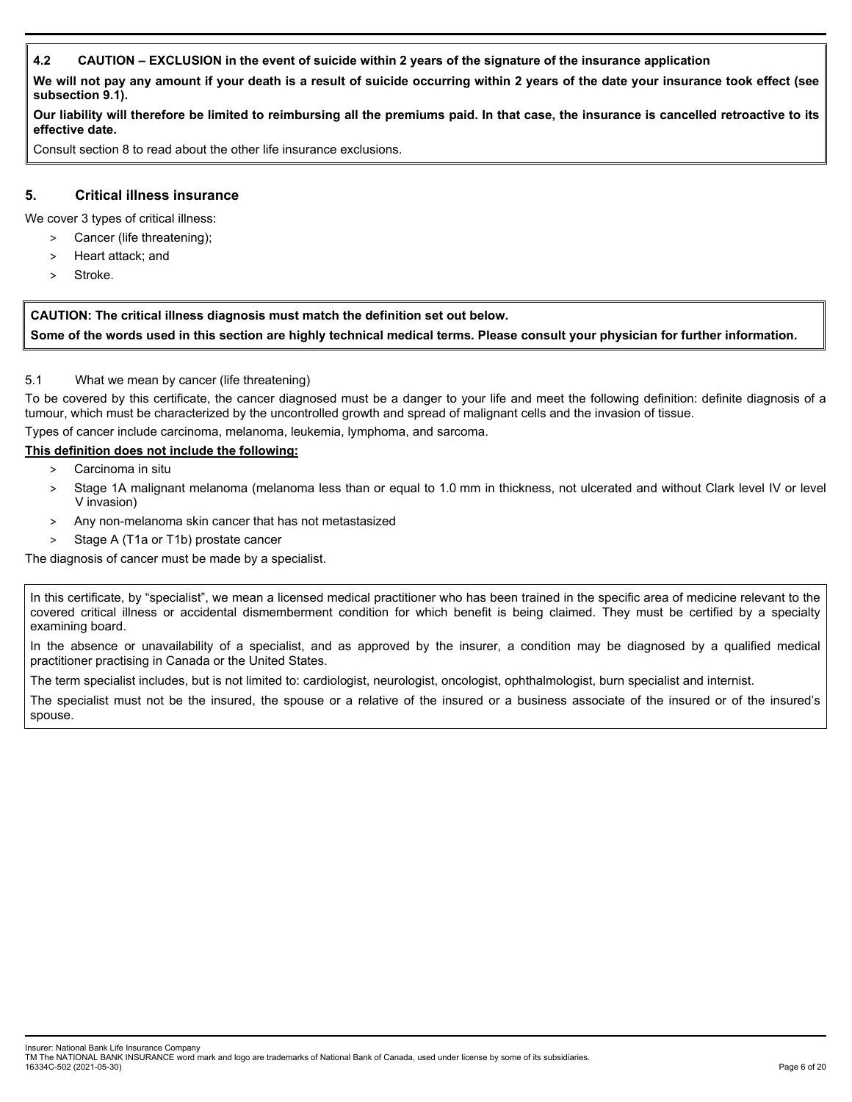# **4.2 CAUTION – EXCLUSION in the event of suicide within 2 years of the signature of the insurance application**

**We will not pay any amount if your death is a result of suicide occurring within 2 years of the date your insurance took effect (see subsection 9.1).** 

**Our liability will therefore be limited to reimbursing all the premiums paid. In that case, the insurance is cancelled retroactive to its effective date.** 

Consult section 8 to read about the other life insurance exclusions.

## **5. Critical illness insurance**

We cover 3 types of critical illness:

- > Cancer (life threatening);
- > Heart attack; and
- Stroke.

**CAUTION: The critical illness diagnosis must match the definition set out below. Some of the words used in this section are highly technical medical terms. Please consult your physician for further information.** 

## 5.1 What we mean by cancer (life threatening)

To be covered by this certificate, the cancer diagnosed must be a danger to your life and meet the following definition: definite diagnosis of a tumour, which must be characterized by the uncontrolled growth and spread of malignant cells and the invasion of tissue.

Types of cancer include carcinoma, melanoma, leukemia, lymphoma, and sarcoma.

# **This definition does not include the following:**

- > Carcinoma in situ
- > Stage 1A malignant melanoma (melanoma less than or equal to 1.0 mm in thickness, not ulcerated and without Clark level IV or level V invasion)
- > Any non-melanoma skin cancer that has not metastasized
- > Stage A (T1a or T1b) prostate cancer

The diagnosis of cancer must be made by a specialist.

In this certificate, by "specialist", we mean a licensed medical practitioner who has been trained in the specific area of medicine relevant to the covered critical illness or accidental dismemberment condition for which benefit is being claimed. They must be certified by a specialty examining board.

In the absence or unavailability of a specialist, and as approved by the insurer, a condition may be diagnosed by a qualified medical practitioner practising in Canada or the United States.

The term specialist includes, but is not limited to: cardiologist, neurologist, oncologist, ophthalmologist, burn specialist and internist.

The specialist must not be the insured, the spouse or a relative of the insured or a business associate of the insured or of the insured's spouse.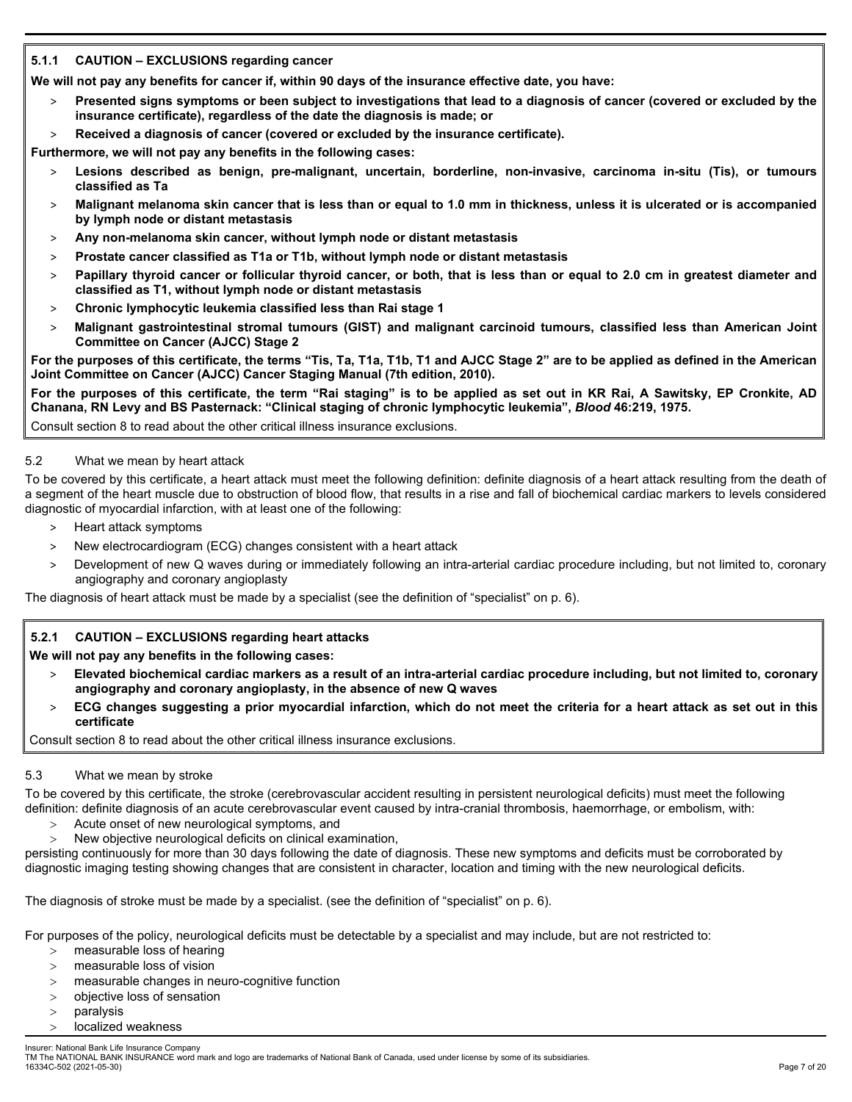# **5.1.1 CAUTION – EXCLUSIONS regarding cancer**

**We will not pay any benefits for cancer if, within 90 days of the insurance effective date, you have:** 

- > **Presented signs symptoms or been subject to investigations that lead to a diagnosis of cancer (covered or excluded by the insurance certificate), regardless of the date the diagnosis is made; or**
- > **Received a diagnosis of cancer (covered or excluded by the insurance certificate).**

**Furthermore, we will not pay any benefits in the following cases:** 

- Lesions described as benign, pre-malignant, uncertain, borderline, non-invasive, carcinoma in-situ (Tis), or tumours **classified as Ta**
- > **Malignant melanoma skin cancer that is less than or equal to 1.0 mm in thickness, unless it is ulcerated or is accompanied by lymph node or distant metastasis**
- > **Any non-melanoma skin cancer, without lymph node or distant metastasis**
- > **Prostate cancer classified as T1a or T1b, without lymph node or distant metastasis**
- > **Papillary thyroid cancer or follicular thyroid cancer, or both, that is less than or equal to 2.0 cm in greatest diameter and classified as T1, without lymph node or distant metastasis**
- > **Chronic lymphocytic leukemia classified less than Rai stage 1**
- > **Malignant gastrointestinal stromal tumours (GIST) and malignant carcinoid tumours, classified less than American Joint Committee on Cancer (AJCC) Stage 2**

**For the purposes of this certificate, the terms "Tis, Ta, T1a, T1b, T1 and AJCC Stage 2" are to be applied as defined in the American Joint Committee on Cancer (AJCC) Cancer Staging Manual (7th edition, 2010).** 

**For the purposes of this certificate, the term "Rai staging" is to be applied as set out in KR Rai, A Sawitsky, EP Cronkite, AD Chanana, RN Levy and BS Pasternack: "Clinical staging of chronic lymphocytic leukemia",** *Blood* **46:219, 1975.** 

Consult section 8 to read about the other critical illness insurance exclusions.

## 5.2 What we mean by heart attack

To be covered by this certificate, a heart attack must meet the following definition: definite diagnosis of a heart attack resulting from the death of a segment of the heart muscle due to obstruction of blood flow, that results in a rise and fall of biochemical cardiac markers to levels considered diagnostic of myocardial infarction, with at least one of the following:

- > Heart attack symptoms
- > New electrocardiogram (ECG) changes consistent with a heart attack
- > Development of new Q waves during or immediately following an intra-arterial cardiac procedure including, but not limited to, coronary angiography and coronary angioplasty

The diagnosis of heart attack must be made by a specialist (see the definition of "specialist" on p. 6).

# **5.2.1 CAUTION – EXCLUSIONS regarding heart attacks**

**We will not pay any benefits in the following cases:** 

- > **Elevated biochemical cardiac markers as a result of an intra-arterial cardiac procedure including, but not limited to, coronary angiography and coronary angioplasty, in the absence of new Q waves**
- > **ECG changes suggesting a prior myocardial infarction, which do not meet the criteria for a heart attack as set out in this certificate**

Consult section 8 to read about the other critical illness insurance exclusions.

### 5.3 What we mean by stroke

To be covered by this certificate, the stroke (cerebrovascular accident resulting in persistent neurological deficits) must meet the following definition: definite diagnosis of an acute cerebrovascular event caused by intra-cranial thrombosis, haemorrhage, or embolism, with:

- Acute onset of new neurological symptoms, and
- New objective neurological deficits on clinical examination,

persisting continuously for more than 30 days following the date of diagnosis. These new symptoms and deficits must be corroborated by diagnostic imaging testing showing changes that are consistent in character, location and timing with the new neurological deficits.

The diagnosis of stroke must be made by a specialist. (see the definition of "specialist" on p. 6).

For purposes of the policy, neurological deficits must be detectable by a specialist and may include, but are not restricted to:

- $>$  measurable loss of hearing
- > measurable loss of vision
- measurable changes in neuro-cognitive function
- objective loss of sensation
- paralysis
- localized weakness

Insurer: National Bank Life Insurance Company TM The NATIONAL BANK INSURANCE word mark and logo are trademarks of National Bank of Canada, used under license by some of its subsidiaries. 16334C-502 (2021-05-30) Page 7 of 20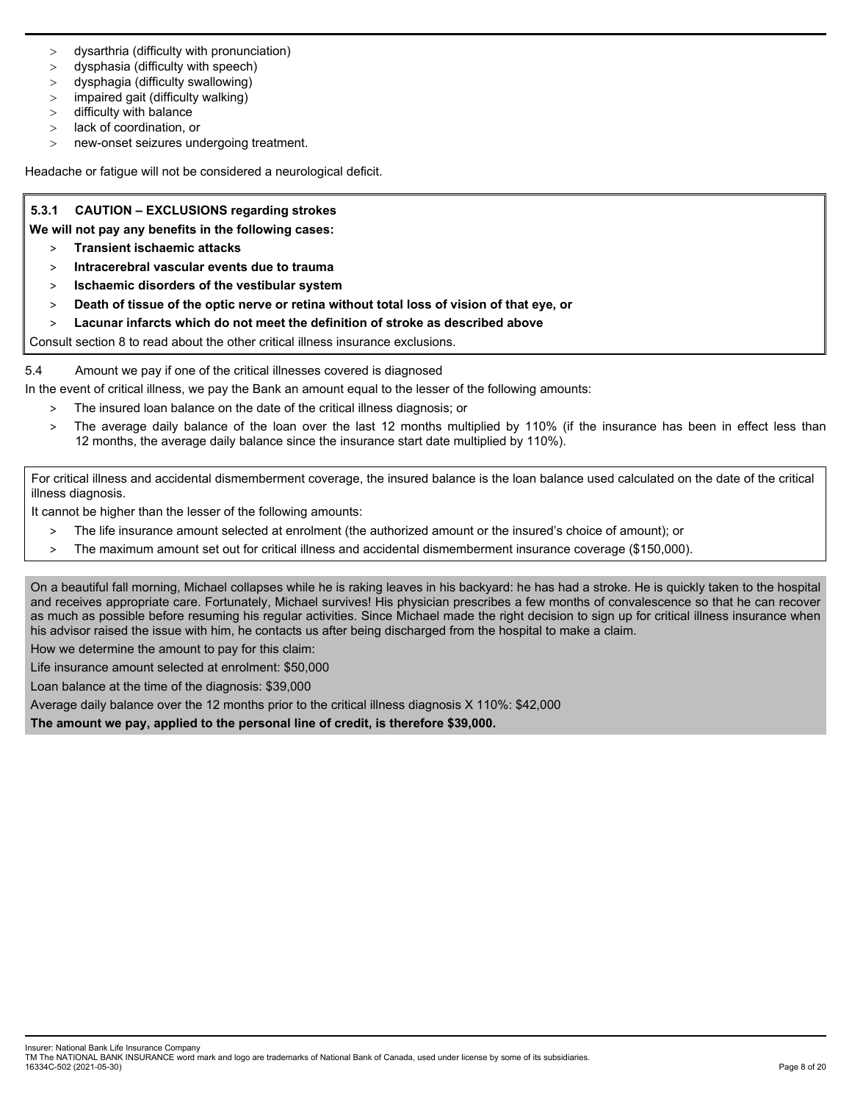- dysarthria (difficulty with pronunciation)
- dysphasia (difficulty with speech)
- dysphagia (difficulty swallowing)
- > impaired gait (difficulty walking)
- difficulty with balance
- lack of coordination, or
- new-onset seizures undergoing treatment.

Headache or fatigue will not be considered a neurological deficit.

## **5.3.1 CAUTION – EXCLUSIONS regarding strokes**

- **We will not pay any benefits in the following cases:** 
	- > **Transient ischaemic attacks**
	- > **Intracerebral vascular events due to trauma**
	- > **Ischaemic disorders of the vestibular system**
	- > **Death of tissue of the optic nerve or retina without total loss of vision of that eye, or**
	- > **Lacunar infarcts which do not meet the definition of stroke as described above**

Consult section 8 to read about the other critical illness insurance exclusions.

5.4 Amount we pay if one of the critical illnesses covered is diagnosed

- In the event of critical illness, we pay the Bank an amount equal to the lesser of the following amounts:
	- > The insured loan balance on the date of the critical illness diagnosis; or
	- The average daily balance of the loan over the last 12 months multiplied by 110% (if the insurance has been in effect less than 12 months, the average daily balance since the insurance start date multiplied by 110%).

For critical illness and accidental dismemberment coverage, the insured balance is the loan balance used calculated on the date of the critical illness diagnosis.

It cannot be higher than the lesser of the following amounts:

- > The life insurance amount selected at enrolment (the authorized amount or the insured's choice of amount); or
- > The maximum amount set out for critical illness and accidental dismemberment insurance coverage (\$150,000).

On a beautiful fall morning, Michael collapses while he is raking leaves in his backyard: he has had a stroke. He is quickly taken to the hospital and receives appropriate care. Fortunately, Michael survives! His physician prescribes a few months of convalescence so that he can recover as much as possible before resuming his regular activities. Since Michael made the right decision to sign up for critical illness insurance when his advisor raised the issue with him, he contacts us after being discharged from the hospital to make a claim.

How we determine the amount to pay for this claim:

Life insurance amount selected at enrolment: \$50,000

Loan balance at the time of the diagnosis: \$39,000

Average daily balance over the 12 months prior to the critical illness diagnosis X 110%: \$42,000

**The amount we pay, applied to the personal line of credit, is therefore \$39,000.**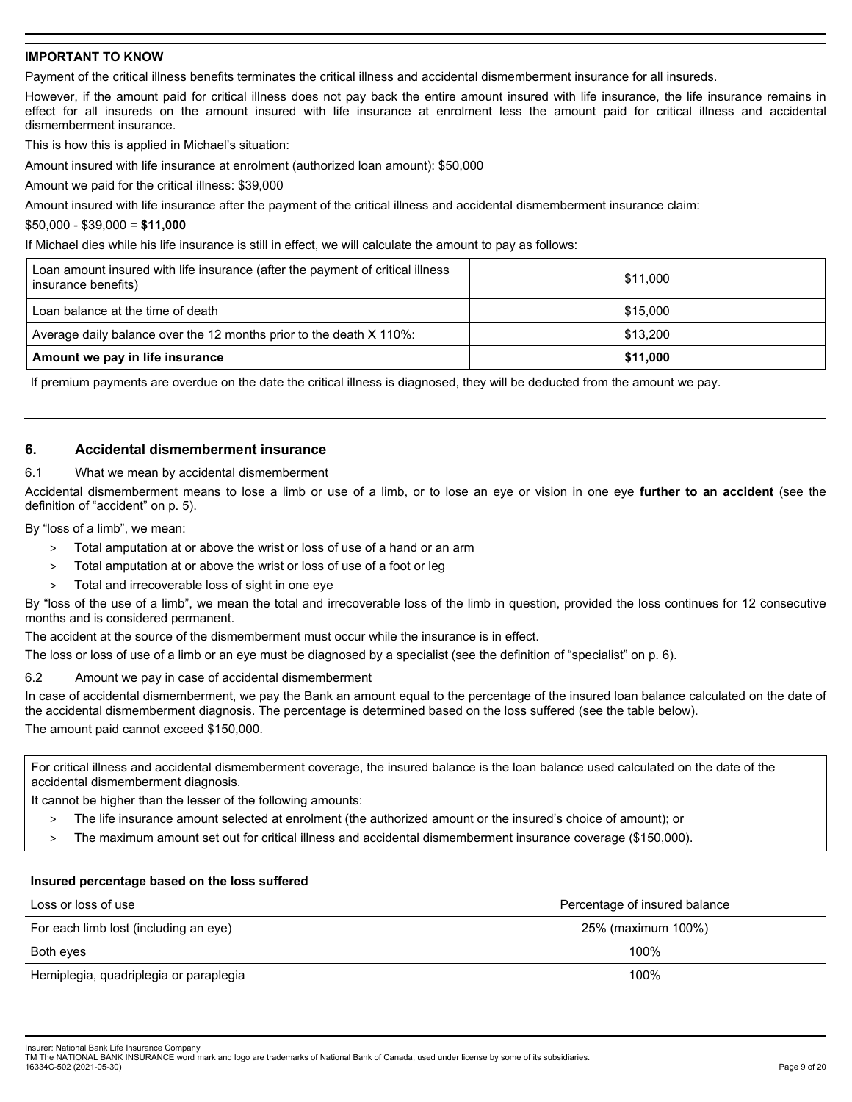### **IMPORTANT TO KNOW**

Payment of the critical illness benefits terminates the critical illness and accidental dismemberment insurance for all insureds.

However, if the amount paid for critical illness does not pay back the entire amount insured with life insurance, the life insurance remains in effect for all insureds on the amount insured with life insurance at enrolment less the amount paid for critical illness and accidental dismemberment insurance.

This is how this is applied in Michael's situation:

Amount insured with life insurance at enrolment (authorized loan amount): \$50,000

Amount we paid for the critical illness: \$39,000

Amount insured with life insurance after the payment of the critical illness and accidental dismemberment insurance claim:

#### \$50,000 - \$39,000 = **\$11,000**

If Michael dies while his life insurance is still in effect, we will calculate the amount to pay as follows:

| Loan amount insured with life insurance (after the payment of critical illness<br>insurance benefits) | \$11.000 |
|-------------------------------------------------------------------------------------------------------|----------|
| Loan balance at the time of death                                                                     | \$15,000 |
| Average daily balance over the 12 months prior to the death X 110%:                                   | \$13,200 |
| Amount we pay in life insurance                                                                       | \$11.000 |

If premium payments are overdue on the date the critical illness is diagnosed, they will be deducted from the amount we pay.

## **6. Accidental dismemberment insurance**

#### 6.1 What we mean by accidental dismemberment

Accidental dismemberment means to lose a limb or use of a limb, or to lose an eye or vision in one eye **further to an accident** (see the definition of "accident" on p. 5).

By "loss of a limb", we mean:

- > Total amputation at or above the wrist or loss of use of a hand or an arm
- > Total amputation at or above the wrist or loss of use of a foot or leg
- Total and irrecoverable loss of sight in one eye

By "loss of the use of a limb", we mean the total and irrecoverable loss of the limb in question, provided the loss continues for 12 consecutive months and is considered permanent.

The accident at the source of the dismemberment must occur while the insurance is in effect.

The loss or loss of use of a limb or an eye must be diagnosed by a specialist (see the definition of "specialist" on p. 6).

### 6.2 Amount we pay in case of accidental dismemberment

In case of accidental dismemberment, we pay the Bank an amount equal to the percentage of the insured loan balance calculated on the date of the accidental dismemberment diagnosis. The percentage is determined based on the loss suffered (see the table below). The amount paid cannot exceed \$150,000.

For critical illness and accidental dismemberment coverage, the insured balance is the loan balance used calculated on the date of the accidental dismemberment diagnosis.

It cannot be higher than the lesser of the following amounts:

- > The life insurance amount selected at enrolment (the authorized amount or the insured's choice of amount); or
- > The maximum amount set out for critical illness and accidental dismemberment insurance coverage (\$150,000).

#### **Insured percentage based on the loss suffered**

| Loss or loss of use                    | Percentage of insured balance |
|----------------------------------------|-------------------------------|
| For each limb lost (including an eye)  | 25% (maximum 100%)            |
| Both eyes                              | 100%                          |
| Hemiplegia, quadriplegia or paraplegia | 100%                          |

Insurer: National Bank Life Insurance Company

TM The NATIONAL BANK INSURANCE word mark and logo are trademarks of National Bank of Canada, used under license by some of its subsidiaries. 16334C-502 (2021-05-30) Page 9 of 20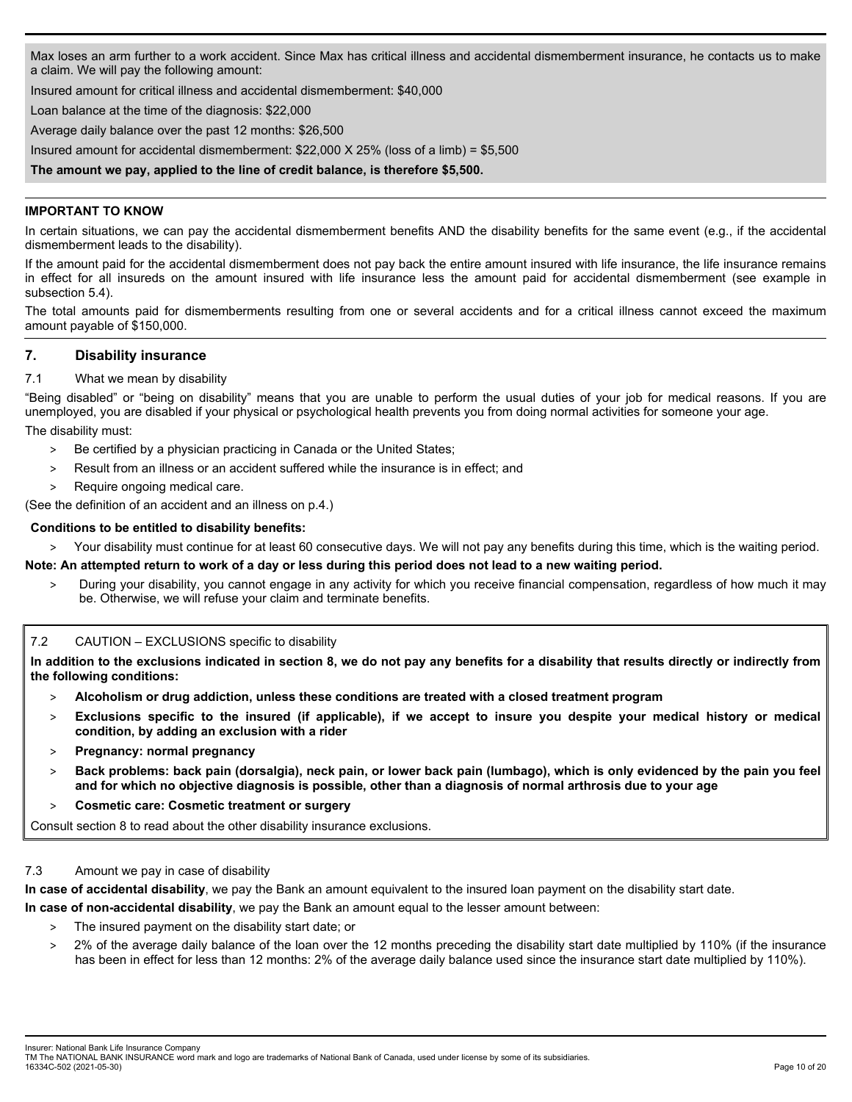Max loses an arm further to a work accident. Since Max has critical illness and accidental dismemberment insurance, he contacts us to make a claim. We will pay the following amount:

Insured amount for critical illness and accidental dismemberment: \$40,000

Loan balance at the time of the diagnosis: \$22,000

Average daily balance over the past 12 months: \$26,500

Insured amount for accidental dismemberment: \$22,000 X 25% (loss of a limb) = \$5,500

**The amount we pay, applied to the line of credit balance, is therefore \$5,500.**

## **IMPORTANT TO KNOW**

In certain situations, we can pay the accidental dismemberment benefits AND the disability benefits for the same event (e.g., if the accidental dismemberment leads to the disability).

If the amount paid for the accidental dismemberment does not pay back the entire amount insured with life insurance, the life insurance remains in effect for all insureds on the amount insured with life insurance less the amount paid for accidental dismemberment (see example in subsection 5.4).

The total amounts paid for dismemberments resulting from one or several accidents and for a critical illness cannot exceed the maximum amount payable of \$150,000.

## **7. Disability insurance**

### 7.1 What we mean by disability

"Being disabled" or "being on disability" means that you are unable to perform the usual duties of your job for medical reasons. If you are unemployed, you are disabled if your physical or psychological health prevents you from doing normal activities for someone your age. The disability must:

- > Be certified by a physician practicing in Canada or the United States;
- > Result from an illness or an accident suffered while the insurance is in effect; and
- > Require ongoing medical care.

(See the definition of an accident and an illness on p.4.)

## **Conditions to be entitled to disability benefits:**

> Your disability must continue for at least 60 consecutive days. We will not pay any benefits during this time, which is the waiting period.

**Note: An attempted return to work of a day or less during this period does not lead to a new waiting period.** 

> During your disability, you cannot engage in any activity for which you receive financial compensation, regardless of how much it may be. Otherwise, we will refuse your claim and terminate benefits.

### 7.2 CAUTION – EXCLUSIONS specific to disability

**In addition to the exclusions indicated in section 8, we do not pay any benefits for a disability that results directly or indirectly from the following conditions:** 

- > **Alcoholism or drug addiction, unless these conditions are treated with a closed treatment program**
- > **Exclusions specific to the insured (if applicable), if we accept to insure you despite your medical history or medical condition, by adding an exclusion with a rider**
- > **Pregnancy: normal pregnancy**
- > **Back problems: back pain (dorsalgia), neck pain, or lower back pain (lumbago), which is only evidenced by the pain you feel and for which no objective diagnosis is possible, other than a diagnosis of normal arthrosis due to your age**
- > **Cosmetic care: Cosmetic treatment or surgery**

Consult section 8 to read about the other disability insurance exclusions.

### 7.3 Amount we pay in case of disability

**In case of accidental disability**, we pay the Bank an amount equivalent to the insured loan payment on the disability start date.

**In case of non-accidental disability**, we pay the Bank an amount equal to the lesser amount between:

- > The insured payment on the disability start date; or
- > 2% of the average daily balance of the loan over the 12 months preceding the disability start date multiplied by 110% (if the insurance has been in effect for less than 12 months: 2% of the average daily balance used since the insurance start date multiplied by 110%).

Insurer: National Bank Life Insurance Company

TM The NATIONAL BANK INSURANCE word mark and logo are trademarks of National Bank of Canada, used under license by some of its subsidiaries. 16334C-502 (2021-05-30) Page 10 of 20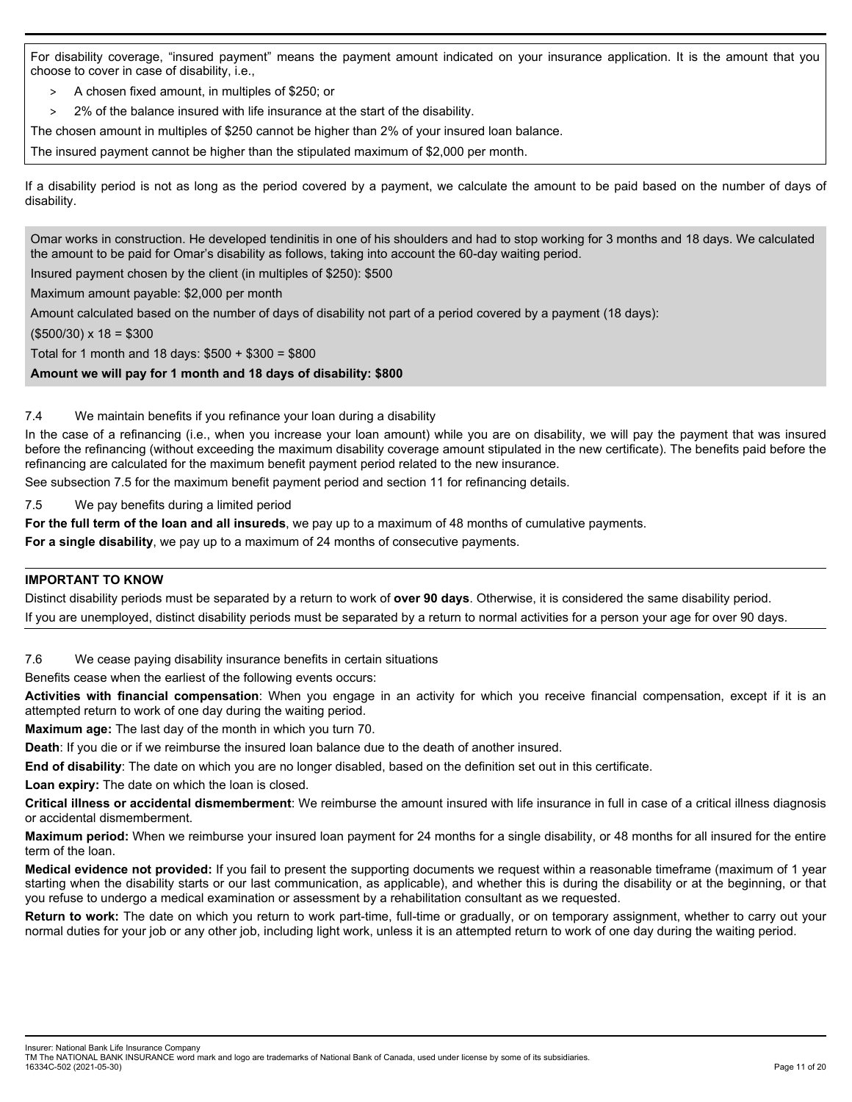For disability coverage, "insured payment" means the payment amount indicated on your insurance application. It is the amount that you choose to cover in case of disability, i.e.,

- > A chosen fixed amount, in multiples of \$250; or
- > 2% of the balance insured with life insurance at the start of the disability.
- The chosen amount in multiples of \$250 cannot be higher than 2% of your insured loan balance.

The insured payment cannot be higher than the stipulated maximum of \$2,000 per month.

If a disability period is not as long as the period covered by a payment, we calculate the amount to be paid based on the number of days of disability.

Omar works in construction. He developed tendinitis in one of his shoulders and had to stop working for 3 months and 18 days. We calculated the amount to be paid for Omar's disability as follows, taking into account the 60-day waiting period.

Insured payment chosen by the client (in multiples of \$250): \$500

Maximum amount payable: \$2,000 per month

Amount calculated based on the number of days of disability not part of a period covered by a payment (18 days):

 $($500/30) \times 18 = $300$ 

Total for 1 month and 18 days: \$500 + \$300 = \$800

**Amount we will pay for 1 month and 18 days of disability: \$800** 

### 7.4 We maintain benefits if you refinance your loan during a disability

In the case of a refinancing (i.e., when you increase your loan amount) while you are on disability, we will pay the payment that was insured before the refinancing (without exceeding the maximum disability coverage amount stipulated in the new certificate). The benefits paid before the refinancing are calculated for the maximum benefit payment period related to the new insurance.

See subsection 7.5 for the maximum benefit payment period and section 11 for refinancing details.

7.5 We pay benefits during a limited period

**For the full term of the loan and all insureds**, we pay up to a maximum of 48 months of cumulative payments.

**For a single disability**, we pay up to a maximum of 24 months of consecutive payments.

### **IMPORTANT TO KNOW**

Distinct disability periods must be separated by a return to work of **over 90 days**. Otherwise, it is considered the same disability period. If you are unemployed, distinct disability periods must be separated by a return to normal activities for a person your age for over 90 days.

7.6 We cease paying disability insurance benefits in certain situations

Benefits cease when the earliest of the following events occurs:

**Activities with financial compensation**: When you engage in an activity for which you receive financial compensation, except if it is an attempted return to work of one day during the waiting period.

**Maximum age:** The last day of the month in which you turn 70.

**Death**: If you die or if we reimburse the insured loan balance due to the death of another insured.

**End of disability**: The date on which you are no longer disabled, based on the definition set out in this certificate.

**Loan expiry:** The date on which the loan is closed.

**Critical illness or accidental dismemberment**: We reimburse the amount insured with life insurance in full in case of a critical illness diagnosis or accidental dismemberment.

**Maximum period:** When we reimburse your insured loan payment for 24 months for a single disability, or 48 months for all insured for the entire term of the loan.

**Medical evidence not provided:** If you fail to present the supporting documents we request within a reasonable timeframe (maximum of 1 year starting when the disability starts or our last communication, as applicable), and whether this is during the disability or at the beginning, or that you refuse to undergo a medical examination or assessment by a rehabilitation consultant as we requested.

**Return to work:** The date on which you return to work part-time, full-time or gradually, or on temporary assignment, whether to carry out your normal duties for your job or any other job, including light work, unless it is an attempted return to work of one day during the waiting period.

Insurer: National Bank Life Insurance Company

TM The NATIONAL BANK INSURANCE word mark and logo are trademarks of National Bank of Canada, used under license by some of its subsidiaries. 16334C-502 (2021-05-30) Page 11 of 20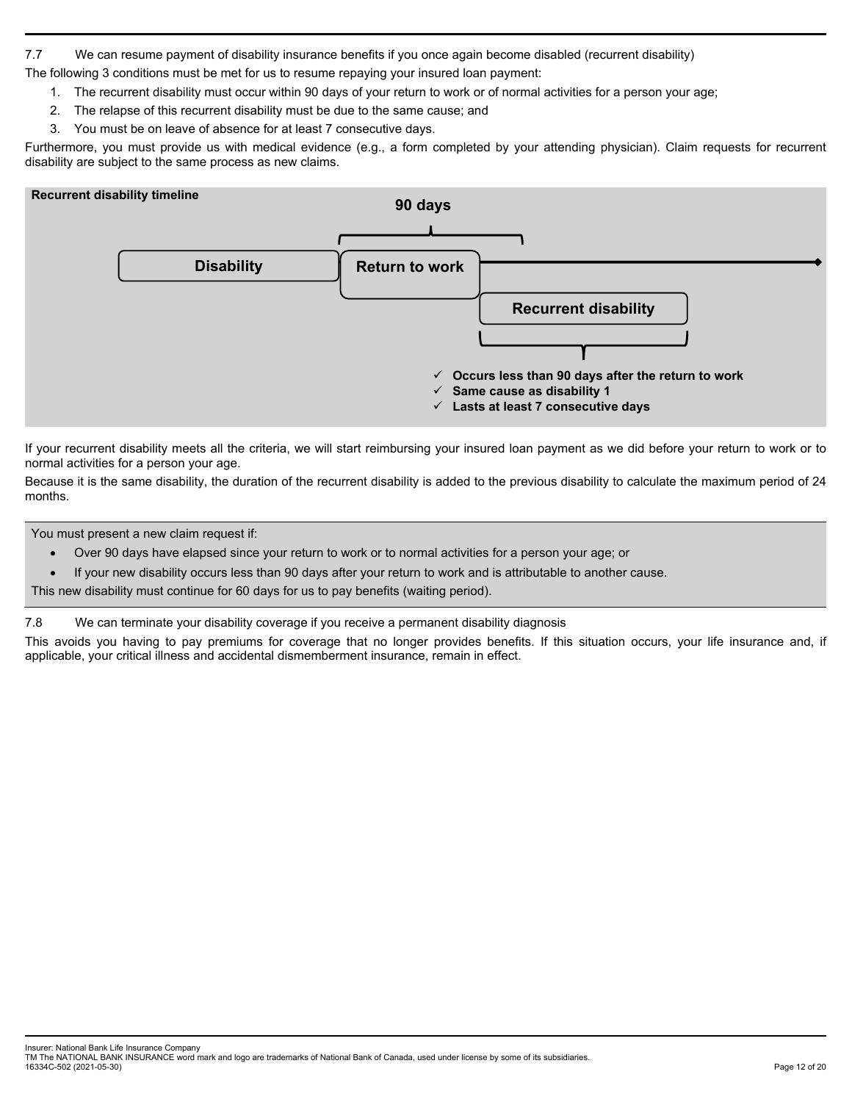7.7 We can resume payment of disability insurance benefits if you once again become disabled (recurrent disability)

The following 3 conditions must be met for us to resume repaying your insured loan payment:

- 1. The recurrent disability must occur within 90 days of your return to work or of normal activities for a person your age;
- 2. The relapse of this recurrent disability must be due to the same cause; and
- 3. You must be on leave of absence for at least 7 consecutive days.

Furthermore, you must provide us with medical evidence (e.g., a form completed by your attending physician). Claim requests for recurrent disability are subject to the same process as new claims.



If your recurrent disability meets all the criteria, we will start reimbursing your insured loan payment as we did before your return to work or to normal activities for a person your age.

Because it is the same disability, the duration of the recurrent disability is added to the previous disability to calculate the maximum period of 24 months.

You must present a new claim request if:

- Over 90 days have elapsed since your return to work or to normal activities for a person your age; or
- If your new disability occurs less than 90 days after your return to work and is attributable to another cause.

This new disability must continue for 60 days for us to pay benefits (waiting period).

7.8 We can terminate your disability coverage if you receive a permanent disability diagnosis

This avoids you having to pay premiums for coverage that no longer provides benefits. If this situation occurs, your life insurance and, if applicable, your critical illness and accidental dismemberment insurance, remain in effect.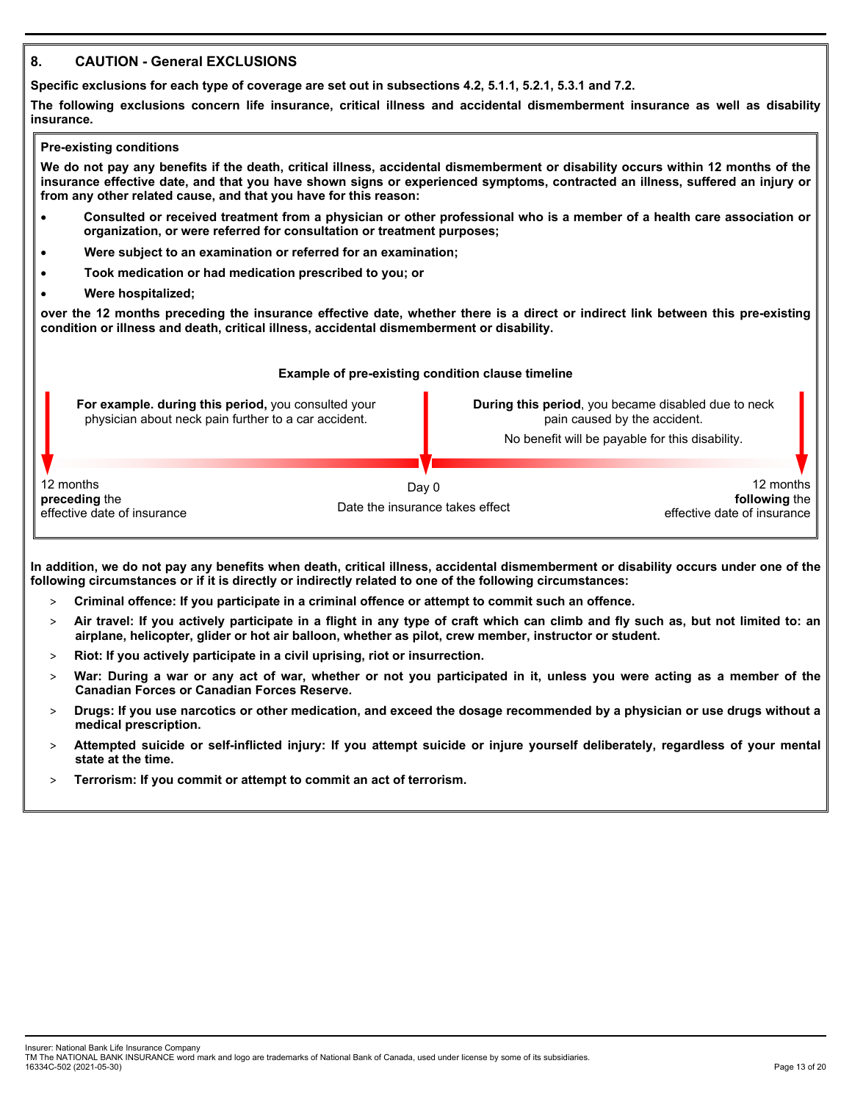# **8. CAUTION - General EXCLUSIONS**

**Specific exclusions for each type of coverage are set out in subsections 4.2, 5.1.1, 5.2.1, 5.3.1 and 7.2.** 

**The following exclusions concern life insurance, critical illness and accidental dismemberment insurance as well as disability insurance.** 

#### **Pre-existing conditions**

**We do not pay any benefits if the death, critical illness, accidental dismemberment or disability occurs within 12 months of the insurance effective date, and that you have shown signs or experienced symptoms, contracted an illness, suffered an injury or from any other related cause, and that you have for this reason:** 

- **Consulted or received treatment from a physician or other professional who is a member of a health care association or organization, or were referred for consultation or treatment purposes;**
- **Were subject to an examination or referred for an examination;**
- **Took medication or had medication prescribed to you; or**
- **Were hospitalized;**

**over the 12 months preceding the insurance effective date, whether there is a direct or indirect link between this pre-existing condition or illness and death, critical illness, accidental dismemberment or disability.** 

### **Example of pre-existing condition clause timeline For example. during this period,** you consulted your physician about neck pain further to a car accident. **During this period**, you became disabled due to neck pain caused by the accident. No benefit will be payable for this disability. 12 months **preceding** the effective date of insurance Day 0 Date the insurance takes effect 12 months **following** the effective date of insurance

**In addition, we do not pay any benefits when death, critical illness, accidental dismemberment or disability occurs under one of the following circumstances or if it is directly or indirectly related to one of the following circumstances:** 

- > **Criminal offence: If you participate in a criminal offence or attempt to commit such an offence.**
- > **Air travel: If you actively participate in a flight in any type of craft which can climb and fly such as, but not limited to: an airplane, helicopter, glider or hot air balloon, whether as pilot, crew member, instructor or student.**
- > **Riot: If you actively participate in a civil uprising, riot or insurrection.**
- > **War: During a war or any act of war, whether or not you participated in it, unless you were acting as a member of the Canadian Forces or Canadian Forces Reserve.**
- > **Drugs: If you use narcotics or other medication, and exceed the dosage recommended by a physician or use drugs without a medical prescription.**
- > **Attempted suicide or self-inflicted injury: If you attempt suicide or injure yourself deliberately, regardless of your mental state at the time.**
- > **Terrorism: If you commit or attempt to commit an act of terrorism.**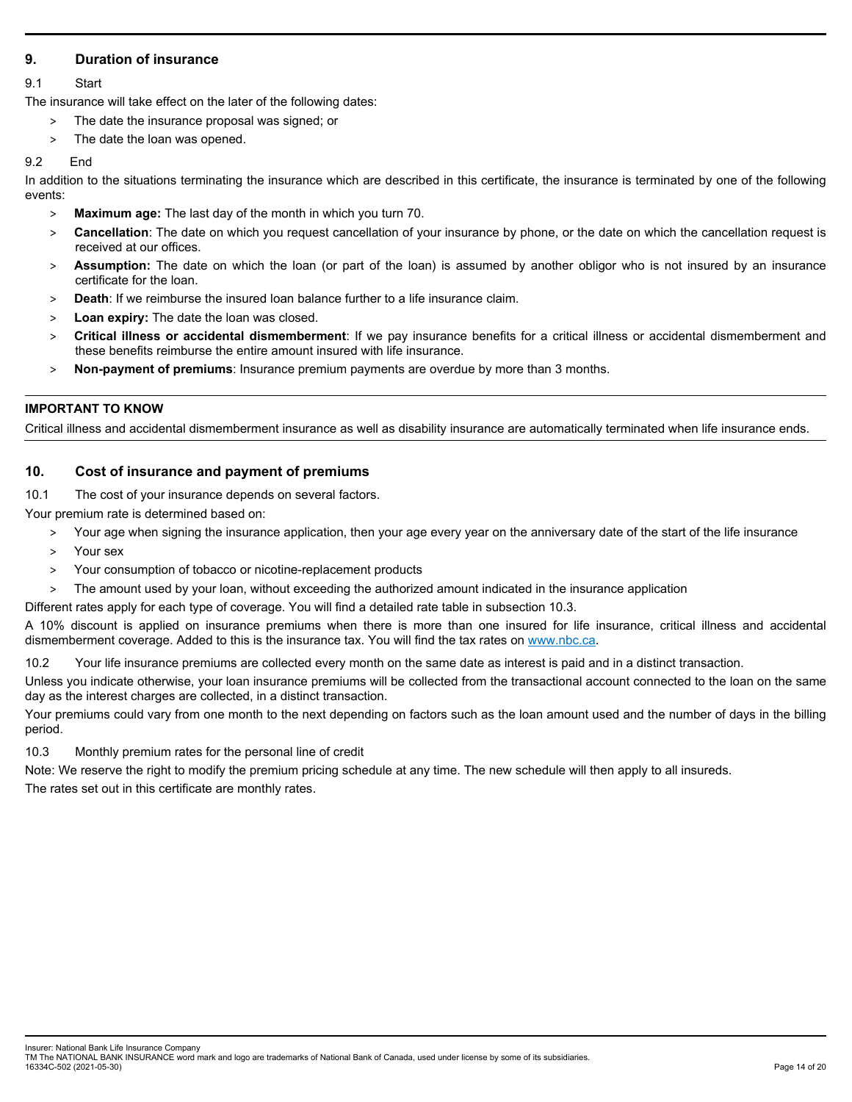# **9. Duration of insurance**

## 9.1 Start

The insurance will take effect on the later of the following dates:

- The date the insurance proposal was signed; or
- > The date the loan was opened.

## 9.2 End

In addition to the situations terminating the insurance which are described in this certificate, the insurance is terminated by one of the following events:

- > **Maximum age:** The last day of the month in which you turn 70.
- > **Cancellation**: The date on which you request cancellation of your insurance by phone, or the date on which the cancellation request is received at our offices.
- > **Assumption:** The date on which the loan (or part of the loan) is assumed by another obligor who is not insured by an insurance certificate for the loan.
- > **Death**: If we reimburse the insured loan balance further to a life insurance claim.
- > **Loan expiry:** The date the loan was closed.
- > **Critical illness or accidental dismemberment**: If we pay insurance benefits for a critical illness or accidental dismemberment and these benefits reimburse the entire amount insured with life insurance.
- > **Non-payment of premiums**: Insurance premium payments are overdue by more than 3 months.

# **IMPORTANT TO KNOW**

Critical illness and accidental dismemberment insurance as well as disability insurance are automatically terminated when life insurance ends.

# **10. Cost of insurance and payment of premiums**

10.1 The cost of your insurance depends on several factors.

Your premium rate is determined based on:

- > Your age when signing the insurance application, then your age every year on the anniversary date of the start of the life insurance
- > Your sex
- > Your consumption of tobacco or nicotine-replacement products
- > The amount used by your loan, without exceeding the authorized amount indicated in the insurance application

Different rates apply for each type of coverage. You will find a detailed rate table in subsection 10.3.

A 10% discount is applied on insurance premiums when there is more than one insured for life insurance, critical illness and accidental dismemberment coverage. Added to this is the insurance tax. You will find the tax rates on www.nbc.ca.

10.2 Your life insurance premiums are collected every month on the same date as interest is paid and in a distinct transaction.

Unless you indicate otherwise, your loan insurance premiums will be collected from the transactional account connected to the loan on the same day as the interest charges are collected, in a distinct transaction.

Your premiums could vary from one month to the next depending on factors such as the loan amount used and the number of days in the billing period.

10.3 Monthly premium rates for the personal line of credit

Note: We reserve the right to modify the premium pricing schedule at any time. The new schedule will then apply to all insureds.

The rates set out in this certificate are monthly rates.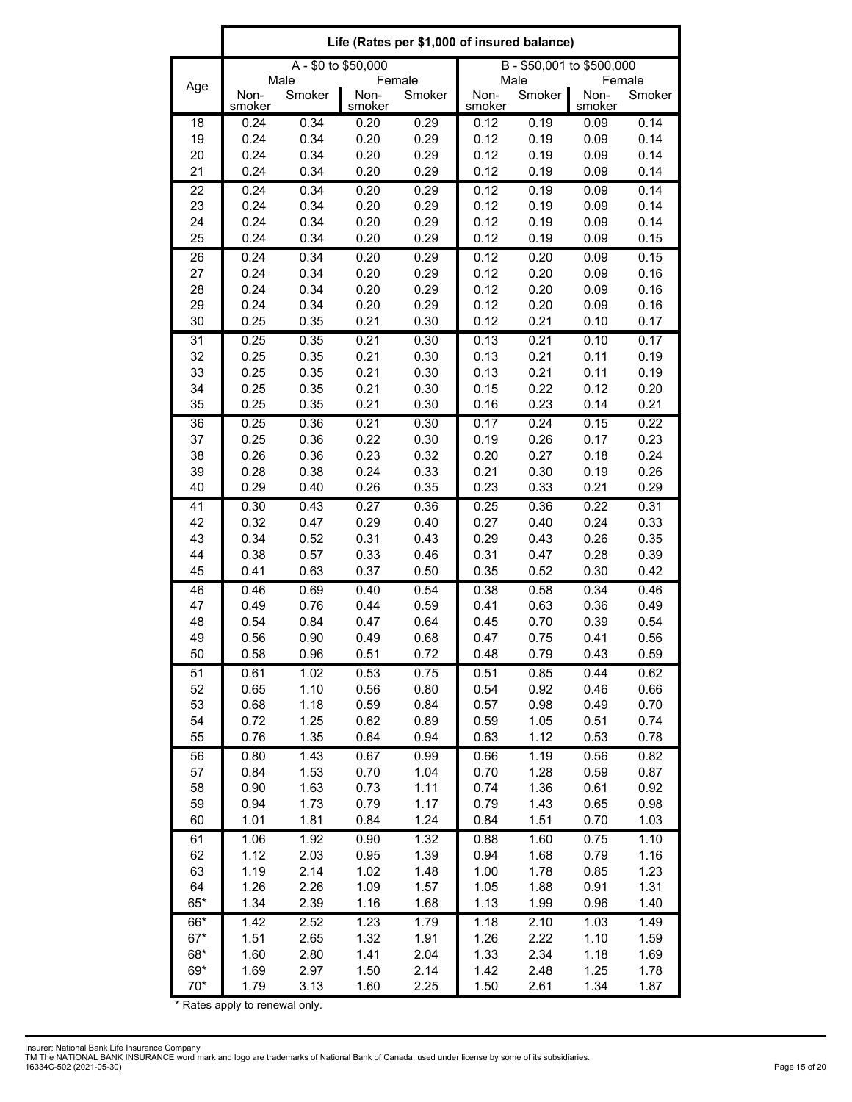|          | Life (Rates per \$1,000 of insured balance) |                |                |                  |                           |                |                |                  |
|----------|---------------------------------------------|----------------|----------------|------------------|---------------------------|----------------|----------------|------------------|
|          | A - \$0 to \$50,000                         |                |                |                  | B - \$50,001 to \$500,000 |                |                |                  |
| Age      | Non-<br>smoker                              | Male<br>Smoker | Non-<br>smoker | Female<br>Smoker | Non-<br>smoker            | Male<br>Smoker | Non-<br>smoker | Female<br>Smoker |
| 18       | 0.24                                        | 0.34           | 0.20           | 0.29             | 0.12                      | 0.19           | 0.09           | 0.14             |
| 19       | 0.24                                        | 0.34           | 0.20           | 0.29             | 0.12                      | 0.19           | 0.09           | 0.14             |
| 20       | 0.24                                        | 0.34           | 0.20           | 0.29             | 0.12                      | 0.19           | 0.09           | 0.14             |
| 21       | 0.24                                        | 0.34           | 0.20           | 0.29             | 0.12                      | 0.19           | 0.09           | 0.14             |
| 22<br>23 | 0.24<br>0.24                                | 0.34<br>0.34   | 0.20<br>0.20   | 0.29<br>0.29     | 0.12<br>0.12              | 0.19<br>0.19   | 0.09<br>0.09   | 0.14<br>0.14     |
| 24       | 0.24                                        | 0.34           | 0.20           | 0.29             | 0.12                      | 0.19           | 0.09           | 0.14             |
| 25       | 0.24                                        | 0.34           | 0.20           | 0.29             | 0.12                      | 0.19           | 0.09           | 0.15             |
| 26       | 0.24                                        | 0.34           | 0.20           | 0.29             | 0.12                      | 0.20           | 0.09           | 0.15             |
| 27       | 0.24                                        | 0.34           | 0.20           | 0.29             | 0.12                      | 0.20           | 0.09           | 0.16             |
| 28       | 0.24                                        | 0.34           | 0.20           | 0.29             | 0.12                      | 0.20           | 0.09           | 0.16             |
| 29       | 0.24                                        | 0.34           | 0.20           | 0.29             | 0.12                      | 0.20           | 0.09           | 0.16             |
| 30       | 0.25                                        | 0.35           | 0.21           | 0.30             | 0.12                      | 0.21           | 0.10           | 0.17             |
| 31       | 0.25                                        | 0.35           | 0.21           | 0.30             | 0.13                      | 0.21           | 0.10           | 0.17             |
| 32       | 0.25                                        | 0.35           | 0.21           | 0.30             | 0.13                      | 0.21           | 0.11           | 0.19             |
| 33       | 0.25                                        | 0.35           | 0.21           | 0.30             | 0.13                      | 0.21           | 0.11           | 0.19             |
| 34<br>35 | 0.25<br>0.25                                | 0.35<br>0.35   | 0.21<br>0.21   | 0.30<br>0.30     | 0.15<br>0.16              | 0.22<br>0.23   | 0.12<br>0.14   | 0.20<br>0.21     |
| 36       | 0.25                                        | 0.36           | 0.21           | 0.30             | 0.17                      | 0.24           | 0.15           | 0.22             |
| 37       | 0.25                                        | 0.36           | 0.22           | 0.30             | 0.19                      | 0.26           | 0.17           | 0.23             |
| 38       | 0.26                                        | 0.36           | 0.23           | 0.32             | 0.20                      | 0.27           | 0.18           | 0.24             |
| 39       | 0.28                                        | 0.38           | 0.24           | 0.33             | 0.21                      | 0.30           | 0.19           | 0.26             |
| 40       | 0.29                                        | 0.40           | 0.26           | 0.35             | 0.23                      | 0.33           | 0.21           | 0.29             |
| 41       | 0.30                                        | 0.43           | 0.27           | 0.36             | 0.25                      | 0.36           | 0.22           | 0.31             |
| 42       | 0.32                                        | 0.47           | 0.29           | 0.40             | 0.27                      | 0.40           | 0.24           | 0.33             |
| 43       | 0.34                                        | 0.52           | 0.31           | 0.43             | 0.29                      | 0.43           | 0.26           | 0.35             |
| 44       | 0.38                                        | 0.57           | 0.33           | 0.46             | 0.31                      | 0.47           | 0.28           | 0.39             |
| 45       | 0.41                                        | 0.63           | 0.37           | 0.50             | 0.35                      | 0.52           | 0.30           | 0.42             |
| 46       | 0.46                                        | 0.69           | 0.40           | 0.54             | 0.38                      | 0.58           | 0.34           | 0.46             |
| 47<br>48 | 0.49<br>0.54                                | 0.76<br>0.84   | 0.44<br>0.47   | 0.59<br>0.64     | 0.41<br>0.45              | 0.63<br>0.70   | 0.36<br>0.39   | 0.49<br>0.54     |
| 49       | 0.56                                        | 0.90           | 0.49           | 0.68             | 0.47                      | 0.75           | 0.41           | 0.56             |
| 50       | 0.58                                        | 0.96           | 0.51           | 0.72             | 0.48                      | 0.79           | 0.43           | 0.59             |
| 51       | 0.61                                        | 1.02           | 0.53           | 0.75             | 0.51                      | 0.85           | 0.44           | 0.62             |
| 52       | 0.65                                        | 1.10           | 0.56           | 0.80             | 0.54                      | 0.92           | 0.46           | 0.66             |
| 53       | 0.68                                        | 1.18           | 0.59           | 0.84             | 0.57                      | 0.98           | 0.49           | 0.70             |
| 54       | 0.72                                        | 1.25           | 0.62           | 0.89             | 0.59                      | 1.05           | 0.51           | 0.74             |
| 55       | 0.76                                        | 1.35           | 0.64           | 0.94             | 0.63                      | 1.12           | 0.53           | 0.78             |
| 56       | 0.80                                        | 1.43           | 0.67           | 0.99             | 0.66                      | 1.19           | 0.56           | 0.82             |
| 57       | 0.84                                        | 1.53           | 0.70           | 1.04             | 0.70                      | 1.28           | 0.59           | 0.87             |
| 58       | 0.90                                        | 1.63           | 0.73           | 1.11             | 0.74                      | 1.36           | 0.61           | 0.92             |
| 59<br>60 | 0.94<br>1.01                                | 1.73<br>1.81   | 0.79<br>0.84   | 1.17<br>1.24     | 0.79<br>0.84              | 1.43<br>1.51   | 0.65<br>0.70   | 0.98<br>1.03     |
| 61       | 1.06                                        | 1.92           | 0.90           | 1.32             | 0.88                      | 1.60           | 0.75           | 1.10             |
| 62       | 1.12                                        | 2.03           | 0.95           | 1.39             | 0.94                      | 1.68           | 0.79           | 1.16             |
| 63       | 1.19                                        | 2.14           | 1.02           | 1.48             | 1.00                      | 1.78           | 0.85           | 1.23             |
| 64       | 1.26                                        | 2.26           | 1.09           | 1.57             | 1.05                      | 1.88           | 0.91           | 1.31             |
| $65*$    | 1.34                                        | 2.39           | 1.16           | 1.68             | 1.13                      | 1.99           | 0.96           | 1.40             |
| 66*      | 1.42                                        | 2.52           | 1.23           | 1.79             | 1.18                      | 2.10           | 1.03           | 1.49             |
| $67*$    | 1.51                                        | 2.65           | 1.32           | 1.91             | 1.26                      | 2.22           | 1.10           | 1.59             |
| 68*      | 1.60                                        | 2.80           | 1.41           | 2.04             | 1.33                      | 2.34           | 1.18           | 1.69             |
| 69*      | 1.69                                        | 2.97           | 1.50           | 2.14             | 1.42                      | 2.48           | 1.25           | 1.78             |
| $70*$    | 1.79                                        | 3.13           | 1.60           | 2.25             | 1.50                      | 2.61           | 1.34           | 1.87             |

\* Rates apply to renewal only.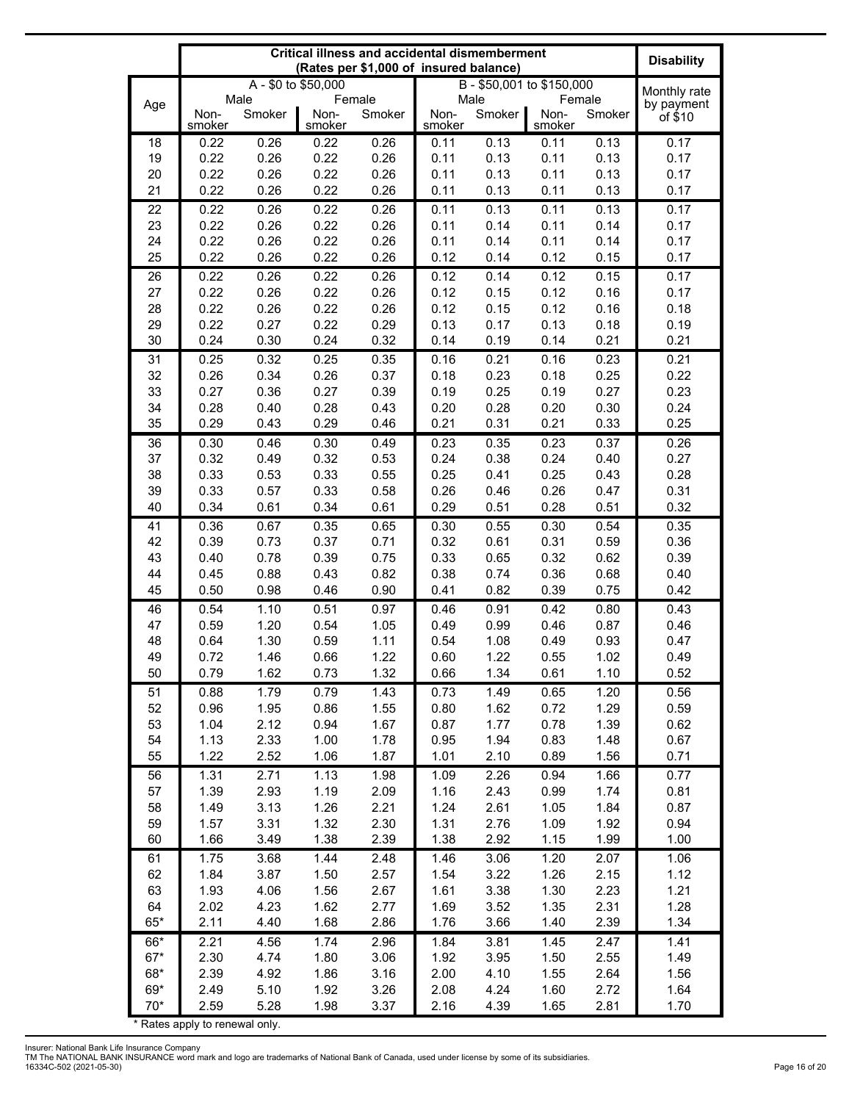|              | <b>Critical illness and accidental dismemberment</b><br>(Rates per \$1,000 of insured balance) |                     |                |              |                |                           |                | <b>Disability</b> |                            |
|--------------|------------------------------------------------------------------------------------------------|---------------------|----------------|--------------|----------------|---------------------------|----------------|-------------------|----------------------------|
|              |                                                                                                | A - \$0 to \$50,000 |                |              |                | B - \$50,001 to \$150,000 |                |                   |                            |
| Age          | Male                                                                                           |                     | Female         |              | Male<br>Female |                           |                |                   | Monthly rate<br>by payment |
|              | Non-<br>smoker                                                                                 | Smoker              | Non-<br>smoker | Smoker       | Non-<br>smoker | Smoker                    | Non-<br>smoker | Smoker            | of \$10                    |
| 18           | 0.22                                                                                           | 0.26                | 0.22           | 0.26         | 0.11           | 0.13                      | 0.11           | 0.13              | 0.17                       |
| 19           | 0.22                                                                                           | 0.26                | 0.22           | 0.26         | 0.11           | 0.13                      | 0.11           | 0.13              | 0.17                       |
| 20           | 0.22                                                                                           | 0.26                | 0.22           | 0.26         | 0.11           | 0.13                      | 0.11           | 0.13              | 0.17                       |
| 21           | 0.22                                                                                           | 0.26                | 0.22           | 0.26         | 0.11           | 0.13                      | 0.11           | 0.13              | 0.17                       |
| 22           | 0.22                                                                                           | 0.26                | 0.22           | 0.26         | 0.11           | 0.13                      | 0.11           | 0.13              | 0.17                       |
| 23<br>24     | 0.22<br>0.22                                                                                   | 0.26<br>0.26        | 0.22<br>0.22   | 0.26<br>0.26 | 0.11<br>0.11   | 0.14<br>0.14              | 0.11<br>0.11   | 0.14<br>0.14      | 0.17<br>0.17               |
| 25           | 0.22                                                                                           | 0.26                | 0.22           | 0.26         | 0.12           | 0.14                      | 0.12           | 0.15              | 0.17                       |
| 26           | 0.22                                                                                           | 0.26                | 0.22           | 0.26         | 0.12           | 0.14                      | 0.12           | 0.15              | 0.17                       |
| 27           | 0.22                                                                                           | 0.26                | 0.22           | 0.26         | 0.12           | 0.15                      | 0.12           | 0.16              | 0.17                       |
| 28           | 0.22                                                                                           | 0.26                | 0.22           | 0.26         | 0.12           | 0.15                      | 0.12           | 0.16              | 0.18                       |
| 29           | 0.22                                                                                           | 0.27                | 0.22           | 0.29         | 0.13           | 0.17                      | 0.13           | 0.18              | 0.19                       |
| 30           | 0.24                                                                                           | 0.30                | 0.24           | 0.32         | 0.14           | 0.19                      | 0.14           | 0.21              | 0.21                       |
| 31           | 0.25                                                                                           | 0.32                | 0.25           | 0.35         | 0.16           | 0.21                      | 0.16           | 0.23              | 0.21                       |
| 32           | 0.26                                                                                           | 0.34                | 0.26           | 0.37         | 0.18           | 0.23                      | 0.18           | 0.25              | 0.22                       |
| 33           | 0.27                                                                                           | 0.36                | 0.27           | 0.39         | 0.19           | 0.25                      | 0.19           | 0.27              | 0.23                       |
| 34<br>35     | 0.28<br>0.29                                                                                   | 0.40<br>0.43        | 0.28<br>0.29   | 0.43<br>0.46 | 0.20<br>0.21   | 0.28<br>0.31              | 0.20<br>0.21   | 0.30<br>0.33      | 0.24<br>0.25               |
| 36           | 0.30                                                                                           | 0.46                | 0.30           | 0.49         | 0.23           | 0.35                      | 0.23           | 0.37              | 0.26                       |
| 37           | 0.32                                                                                           | 0.49                | 0.32           | 0.53         | 0.24           | 0.38                      | 0.24           | 0.40              | 0.27                       |
| 38           | 0.33                                                                                           | 0.53                | 0.33           | 0.55         | 0.25           | 0.41                      | 0.25           | 0.43              | 0.28                       |
| 39           | 0.33                                                                                           | 0.57                | 0.33           | 0.58         | 0.26           | 0.46                      | 0.26           | 0.47              | 0.31                       |
| 40           | 0.34                                                                                           | 0.61                | 0.34           | 0.61         | 0.29           | 0.51                      | 0.28           | 0.51              | 0.32                       |
| 41           | 0.36                                                                                           | 0.67                | 0.35           | 0.65         | 0.30           | 0.55                      | 0.30           | 0.54              | 0.35                       |
| 42           | 0.39                                                                                           | 0.73                | 0.37           | 0.71         | 0.32           | 0.61                      | 0.31           | 0.59              | 0.36                       |
| 43           | 0.40                                                                                           | 0.78                | 0.39           | 0.75         | 0.33           | 0.65                      | 0.32           | 0.62              | 0.39                       |
| 44           | 0.45                                                                                           | 0.88                | 0.43           | 0.82         | 0.38           | 0.74                      | 0.36           | 0.68              | 0.40                       |
| 45           | 0.50                                                                                           | 0.98                | 0.46           | 0.90         | 0.41           | 0.82                      | 0.39           | 0.75              | 0.42                       |
| 46<br>47     | 0.54<br>0.59                                                                                   | 1.10<br>1.20        | 0.51<br>0.54   | 0.97<br>1.05 | 0.46<br>0.49   | 0.91<br>0.99              | 0.42<br>0.46   | 0.80<br>0.87      | 0.43<br>0.46               |
| 48           | 0.64                                                                                           | 1.30                | 0.59           | 1.11         | 0.54           | 1.08                      | 0.49           | 0.93              | 0.47                       |
| 49           | 0.72                                                                                           | 1.46                | 0.66           | 1.22         | 0.60           | 1.22                      | 0.55           | 1.02              | 0.49                       |
| 50           | 0.79                                                                                           | 1.62                | 0.73           | 1.32         | 0.66           | 1.34                      | 0.61           | 1.10              | 0.52                       |
| 51           | 0.88                                                                                           | 1.79                | 0.79           | 1.43         | 0.73           | 1.49                      | 0.65           | 1.20              | 0.56                       |
| 52           | 0.96                                                                                           | 1.95                | 0.86           | 1.55         | 0.80           | 1.62                      | 0.72           | 1.29              | 0.59                       |
| 53           | 1.04                                                                                           | 2.12                | 0.94           | 1.67         | 0.87           | 1.77                      | 0.78           | 1.39              | 0.62                       |
| 54           | 1.13                                                                                           | 2.33                | 1.00           | 1.78         | 0.95           | 1.94                      | 0.83           | 1.48              | 0.67                       |
| 55           | 1.22                                                                                           | 2.52                | 1.06           | 1.87         | 1.01           | 2.10                      | 0.89           | 1.56              | 0.71                       |
| 56           | 1.31                                                                                           | 2.71                | 1.13           | 1.98         | 1.09           | 2.26                      | 0.94           | 1.66              | 0.77                       |
| 57<br>58     | 1.39<br>1.49                                                                                   | 2.93<br>3.13        | 1.19<br>1.26   | 2.09<br>2.21 | 1.16<br>1.24   | 2.43<br>2.61              | 0.99<br>1.05   | 1.74<br>1.84      | 0.81<br>0.87               |
| 59           | 1.57                                                                                           | 3.31                | 1.32           | 2.30         | 1.31           | 2.76                      | 1.09           | 1.92              | 0.94                       |
| 60           | 1.66                                                                                           | 3.49                | 1.38           | 2.39         | 1.38           | 2.92                      | 1.15           | 1.99              | 1.00                       |
| 61           | 1.75                                                                                           | 3.68                | 1.44           | 2.48         | 1.46           | 3.06                      | 1.20           | 2.07              | 1.06                       |
| 62           | 1.84                                                                                           | 3.87                | 1.50           | 2.57         | 1.54           | 3.22                      | 1.26           | 2.15              | 1.12                       |
| 63           | 1.93                                                                                           | 4.06                | 1.56           | 2.67         | 1.61           | 3.38                      | 1.30           | 2.23              | 1.21                       |
| 64           | 2.02                                                                                           | 4.23                | 1.62           | 2.77         | 1.69           | 3.52                      | 1.35           | 2.31              | 1.28                       |
| 65*          | 2.11                                                                                           | 4.40                | 1.68           | 2.86         | 1.76           | 3.66                      | 1.40           | 2.39              | 1.34                       |
| 66*          | 2.21                                                                                           | 4.56                | 1.74           | 2.96         | 1.84           | 3.81                      | 1.45           | 2.47              | 1.41                       |
| $67*$        | 2.30                                                                                           | 4.74                | 1.80           | 3.06         | 1.92           | 3.95                      | 1.50           | 2.55              | 1.49                       |
| 68*<br>$69*$ | 2.39<br>2.49                                                                                   | 4.92                | 1.86<br>1.92   | 3.16         | 2.00<br>2.08   | 4.10<br>4.24              | 1.55<br>1.60   | 2.64<br>2.72      | 1.56                       |
| $70*$        | 2.59                                                                                           | 5.10<br>5.28        | 1.98           | 3.26<br>3.37 | 2.16           | 4.39                      | 1.65           | 2.81              | 1.64<br>1.70               |
|              |                                                                                                |                     |                |              |                |                           |                |                   |                            |

\* Rates apply to renewal only.

Insurer: National Bank Life Insurance Company<br>TM The NATIONAL BANK INSURANCE word mark and logo are trademarks of National Bank of Canada, used under license by some of its subsidiaries.<br>16334C-502 (2021-05-30)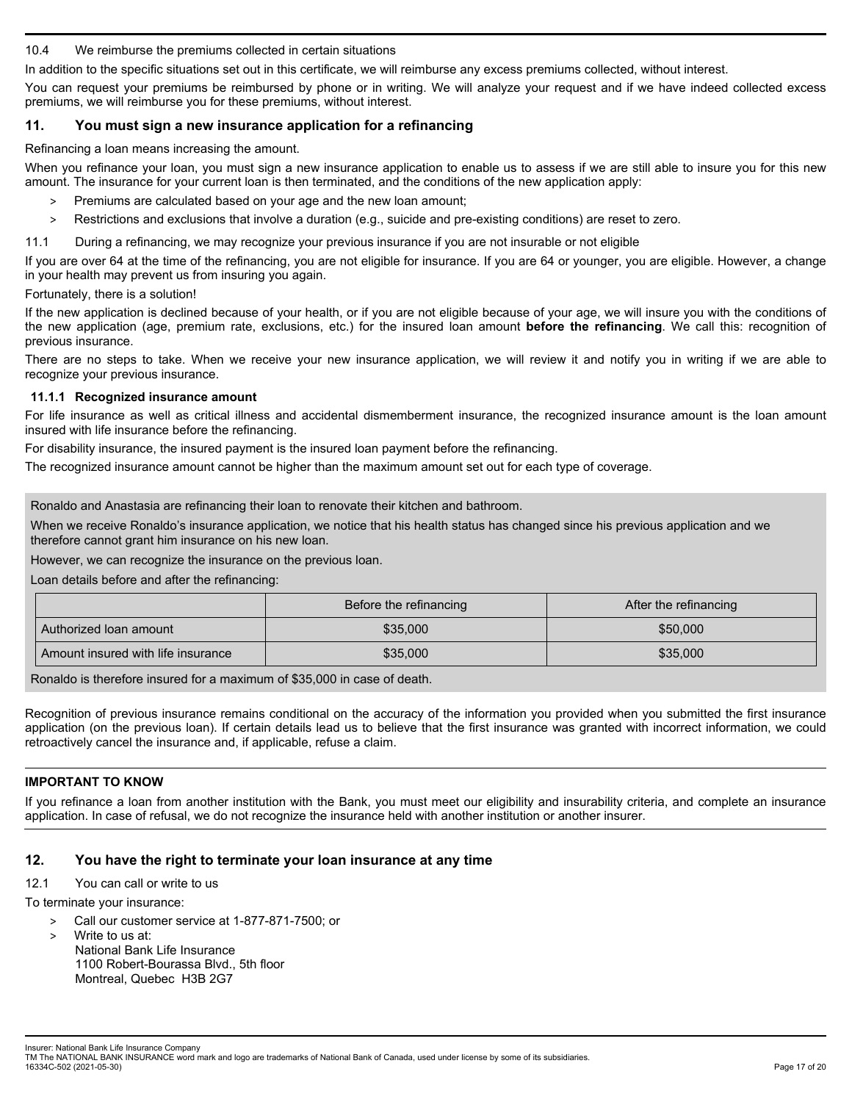### 10.4 We reimburse the premiums collected in certain situations

In addition to the specific situations set out in this certificate, we will reimburse any excess premiums collected, without interest.

You can request your premiums be reimbursed by phone or in writing. We will analyze your request and if we have indeed collected excess premiums, we will reimburse you for these premiums, without interest.

# **11. You must sign a new insurance application for a refinancing**

Refinancing a loan means increasing the amount.

When you refinance your loan, you must sign a new insurance application to enable us to assess if we are still able to insure you for this new amount. The insurance for your current loan is then terminated, and the conditions of the new application apply:

- Premiums are calculated based on your age and the new loan amount;
- > Restrictions and exclusions that involve a duration (e.g., suicide and pre-existing conditions) are reset to zero.
- 11.1 During a refinancing, we may recognize your previous insurance if you are not insurable or not eligible

If you are over 64 at the time of the refinancing, you are not eligible for insurance. If you are 64 or younger, you are eligible. However, a change in your health may prevent us from insuring you again.

Fortunately, there is a solution!

If the new application is declined because of your health, or if you are not eligible because of your age, we will insure you with the conditions of the new application (age, premium rate, exclusions, etc.) for the insured loan amount **before the refinancing**. We call this: recognition of previous insurance.

There are no steps to take. When we receive your new insurance application, we will review it and notify you in writing if we are able to recognize your previous insurance.

## **11.1.1 Recognized insurance amount**

For life insurance as well as critical illness and accidental dismemberment insurance, the recognized insurance amount is the loan amount insured with life insurance before the refinancing.

For disability insurance, the insured payment is the insured loan payment before the refinancing.

The recognized insurance amount cannot be higher than the maximum amount set out for each type of coverage.

Ronaldo and Anastasia are refinancing their loan to renovate their kitchen and bathroom.

When we receive Ronaldo's insurance application, we notice that his health status has changed since his previous application and we therefore cannot grant him insurance on his new loan.

However, we can recognize the insurance on the previous loan.

Loan details before and after the refinancing:

|                                    | Before the refinancing | After the refinancing |
|------------------------------------|------------------------|-----------------------|
| Authorized loan amount             | \$35,000               | \$50,000              |
| Amount insured with life insurance | \$35,000               | \$35,000              |

Ronaldo is therefore insured for a maximum of \$35,000 in case of death.

Recognition of previous insurance remains conditional on the accuracy of the information you provided when you submitted the first insurance application (on the previous loan). If certain details lead us to believe that the first insurance was granted with incorrect information, we could retroactively cancel the insurance and, if applicable, refuse a claim.

# **IMPORTANT TO KNOW**

If you refinance a loan from another institution with the Bank, you must meet our eligibility and insurability criteria, and complete an insurance application. In case of refusal, we do not recognize the insurance held with another institution or another insurer.

# **12. You have the right to terminate your loan insurance at any time**

## 12.1 You can call or write to us

To terminate your insurance:

- > Call our customer service at 1-877-871-7500; or
	- Write to us at: National Bank Life Insurance 1100 Robert-Bourassa Blvd., 5th floor Montreal, Quebec H3B 2G7

Insurer: National Bank Life Insurance Company

TM The NATIONAL BANK INSURANCE word mark and logo are trademarks of National Bank of Canada, used under license by some of its subsidiaries. 16334C-502 (2021-05-30) Page 17 of 20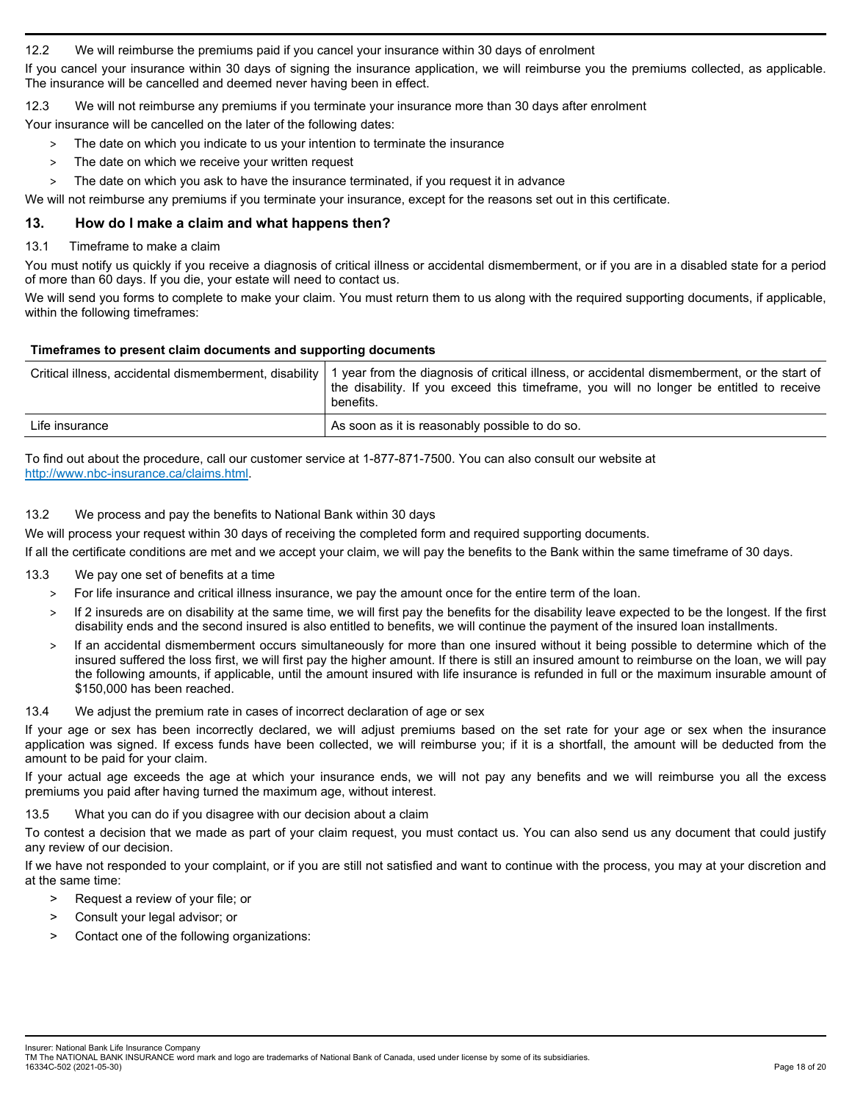12.2 We will reimburse the premiums paid if you cancel your insurance within 30 days of enrolment

If you cancel your insurance within 30 days of signing the insurance application, we will reimburse you the premiums collected, as applicable. The insurance will be cancelled and deemed never having been in effect.

12.3 We will not reimburse any premiums if you terminate your insurance more than 30 days after enrolment

Your insurance will be cancelled on the later of the following dates:

- > The date on which you indicate to us your intention to terminate the insurance
- > The date on which we receive your written request
- > The date on which you ask to have the insurance terminated, if you request it in advance

We will not reimburse any premiums if you terminate your insurance, except for the reasons set out in this certificate.

# **13. How do I make a claim and what happens then?**

### 13.1 Timeframe to make a claim

You must notify us quickly if you receive a diagnosis of critical illness or accidental dismemberment, or if you are in a disabled state for a period of more than 60 days. If you die, your estate will need to contact us.

We will send you forms to complete to make your claim. You must return them to us along with the required supporting documents, if applicable, within the following timeframes:

### **Timeframes to present claim documents and supporting documents**

|                | Critical illness, accidental dismemberment, disability   1 year from the diagnosis of critical illness, or accidental dismemberment, or the start of<br>the disability. If you exceed this timeframe, you will no longer be entitled to receive<br>benefits. |
|----------------|--------------------------------------------------------------------------------------------------------------------------------------------------------------------------------------------------------------------------------------------------------------|
| Life insurance | As soon as it is reasonably possible to do so.                                                                                                                                                                                                               |

To find out about the procedure, call our customer service at 1-877-871-7500. You can also consult our website at http://www.nbc-insurance.ca/claims.html.

## 13.2 We process and pay the benefits to National Bank within 30 days

We will process your request within 30 days of receiving the completed form and required supporting documents.

If all the certificate conditions are met and we accept your claim, we will pay the benefits to the Bank within the same timeframe of 30 days.

- 13.3 We pay one set of benefits at a time
	- > For life insurance and critical illness insurance, we pay the amount once for the entire term of the loan.
	- > If 2 insureds are on disability at the same time, we will first pay the benefits for the disability leave expected to be the longest. If the first disability ends and the second insured is also entitled to benefits, we will continue the payment of the insured loan installments.
	- If an accidental dismemberment occurs simultaneously for more than one insured without it being possible to determine which of the insured suffered the loss first, we will first pay the higher amount. If there is still an insured amount to reimburse on the loan, we will pay the following amounts, if applicable, until the amount insured with life insurance is refunded in full or the maximum insurable amount of \$150,000 has been reached.

## 13.4 We adjust the premium rate in cases of incorrect declaration of age or sex

If your age or sex has been incorrectly declared, we will adjust premiums based on the set rate for your age or sex when the insurance application was signed. If excess funds have been collected, we will reimburse you; if it is a shortfall, the amount will be deducted from the amount to be paid for your claim.

If your actual age exceeds the age at which your insurance ends, we will not pay any benefits and we will reimburse you all the excess premiums you paid after having turned the maximum age, without interest.

### 13.5 What you can do if you disagree with our decision about a claim

To contest a decision that we made as part of your claim request, you must contact us. You can also send us any document that could justify any review of our decision.

If we have not responded to your complaint, or if you are still not satisfied and want to continue with the process, you may at your discretion and at the same time:

- > Request a review of your file; or
- > Consult your legal advisor; or
- > Contact one of the following organizations:

Insurer: National Bank Life Insurance Company

TM The NATIONAL BANK INSURANCE word mark and logo are trademarks of National Bank of Canada, used under license by some of its subsidiaries. 16334C-502 (2021-05-30) Page 18 of 20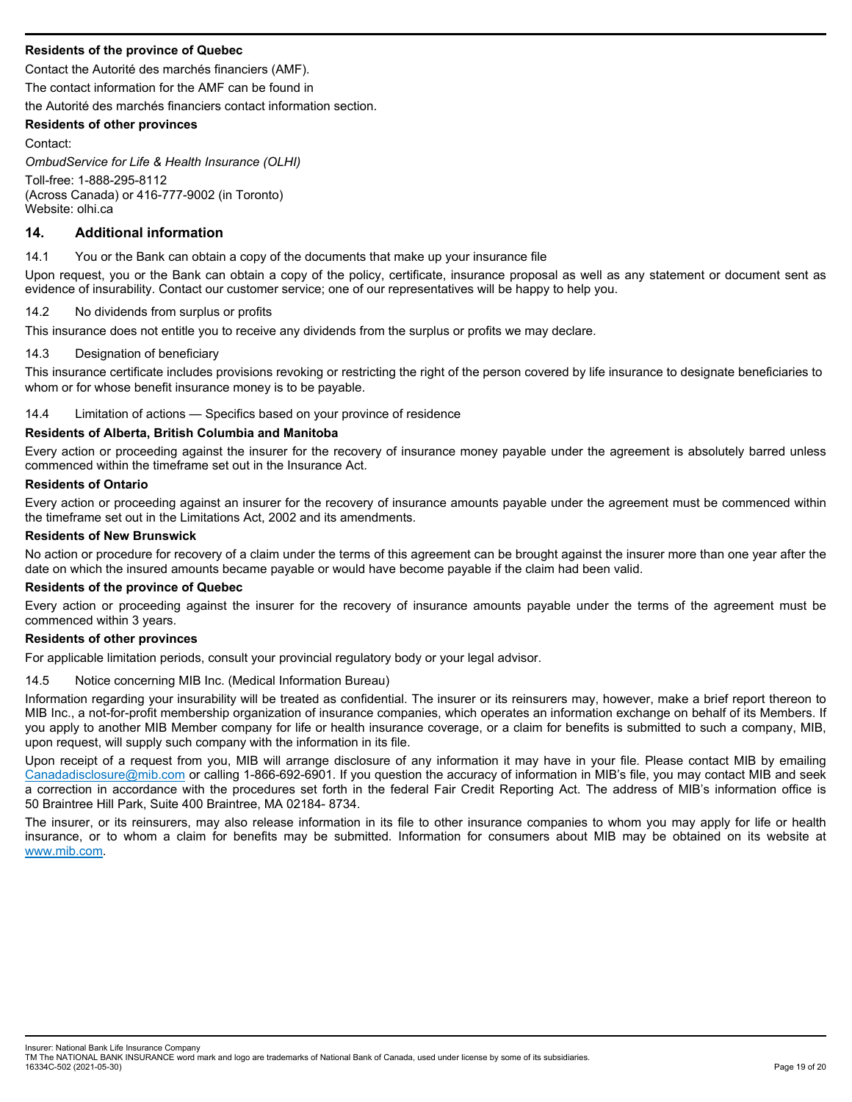## **Residents of the province of Quebec**

Contact the Autorité des marchés financiers (AMF).

The contact information for the AMF can be found in

the Autorité des marchés financiers contact information section.

#### **Residents of other provinces**

Contact:

*OmbudService for Life & Health Insurance (OLHI)*  Toll-free: 1-888-295-8112 (Across Canada) or 416-777-9002 (in Toronto) Website: olhi.ca

# **14. Additional information**

14.1 You or the Bank can obtain a copy of the documents that make up your insurance file

Upon request, you or the Bank can obtain a copy of the policy, certificate, insurance proposal as well as any statement or document sent as evidence of insurability. Contact our customer service; one of our representatives will be happy to help you.

#### 14.2 No dividends from surplus or profits

This insurance does not entitle you to receive any dividends from the surplus or profits we may declare.

#### 14.3 Designation of beneficiary

This insurance certificate includes provisions revoking or restricting the right of the person covered by life insurance to designate beneficiaries to whom or for whose benefit insurance money is to be payable.

14.4 Limitation of actions — Specifics based on your province of residence

## **Residents of Alberta, British Columbia and Manitoba**

Every action or proceeding against the insurer for the recovery of insurance money payable under the agreement is absolutely barred unless commenced within the timeframe set out in the Insurance Act.

#### **Residents of Ontario**

Every action or proceeding against an insurer for the recovery of insurance amounts payable under the agreement must be commenced within the timeframe set out in the Limitations Act, 2002 and its amendments.

### **Residents of New Brunswick**

No action or procedure for recovery of a claim under the terms of this agreement can be brought against the insurer more than one year after the date on which the insured amounts became payable or would have become payable if the claim had been valid.

#### **Residents of the province of Quebec**

Every action or proceeding against the insurer for the recovery of insurance amounts payable under the terms of the agreement must be commenced within 3 years.

#### **Residents of other provinces**

For applicable limitation periods, consult your provincial regulatory body or your legal advisor.

#### 14.5 Notice concerning MIB Inc. (Medical Information Bureau)

Information regarding your insurability will be treated as confidential. The insurer or its reinsurers may, however, make a brief report thereon to MIB Inc., a not-for-profit membership organization of insurance companies, which operates an information exchange on behalf of its Members. If you apply to another MIB Member company for life or health insurance coverage, or a claim for benefits is submitted to such a company, MIB, upon request, will supply such company with the information in its file.

Upon receipt of a request from you, MIB will arrange disclosure of any information it may have in your file. Please contact MIB by emailing Canadadisclosure@mib.com or calling 1-866-692-6901. If you question the accuracy of information in MIB's file, you may contact MIB and seek a correction in accordance with the procedures set forth in the federal Fair Credit Reporting Act. The address of MIB's information office is 50 Braintree Hill Park, Suite 400 Braintree, MA 02184- 8734.

The insurer, or its reinsurers, may also release information in its file to other insurance companies to whom you may apply for life or health insurance, or to whom a claim for benefits may be submitted. Information for consumers about MIB may be obtained on its website at www.mib.com.